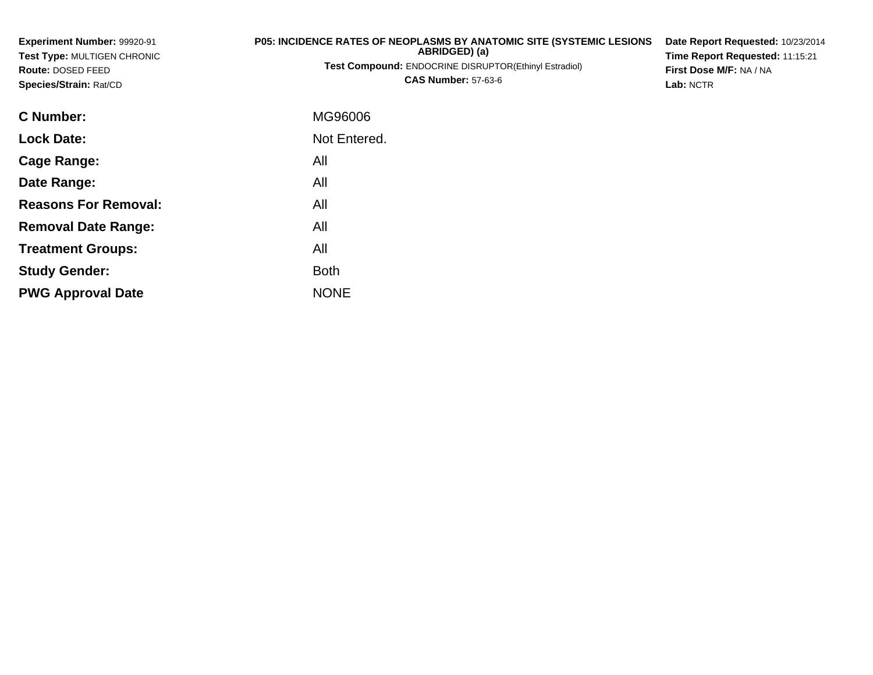| Experiment Number: 99920-91<br><b>Test Type: MULTIGEN CHRONIC</b><br>Route: DOSED FEED | P05: INCIDENCE RATES OF NEOPLASMS BY ANATOMIC SITE (SYSTEMIC LESIONS<br>ABRIDGED) (a)<br>Test Compound: ENDOCRINE DISRUPTOR(Ethinyl Estradiol) | Date Report Requested: 10/23/2014<br>Time Report Requested: 11:15:21<br>First Dose M/F: NA / NA |
|----------------------------------------------------------------------------------------|------------------------------------------------------------------------------------------------------------------------------------------------|-------------------------------------------------------------------------------------------------|
| Species/Strain: Rat/CD                                                                 | <b>CAS Number: 57-63-6</b>                                                                                                                     | Lab: NCTR                                                                                       |
| <b>C</b> Number:                                                                       | MG96006                                                                                                                                        |                                                                                                 |
| <b>Lock Date:</b>                                                                      | Not Entered.                                                                                                                                   |                                                                                                 |
| Cage Range:                                                                            | All                                                                                                                                            |                                                                                                 |
| Date Range:                                                                            | All                                                                                                                                            |                                                                                                 |
| <b>Reasons For Removal:</b>                                                            | All                                                                                                                                            |                                                                                                 |
| <b>Removal Date Range:</b>                                                             | All                                                                                                                                            |                                                                                                 |
| <b>Treatment Groups:</b>                                                               | All                                                                                                                                            |                                                                                                 |
| <b>Study Gender:</b>                                                                   | <b>Both</b>                                                                                                                                    |                                                                                                 |

e NONE

**PWG Approval Date**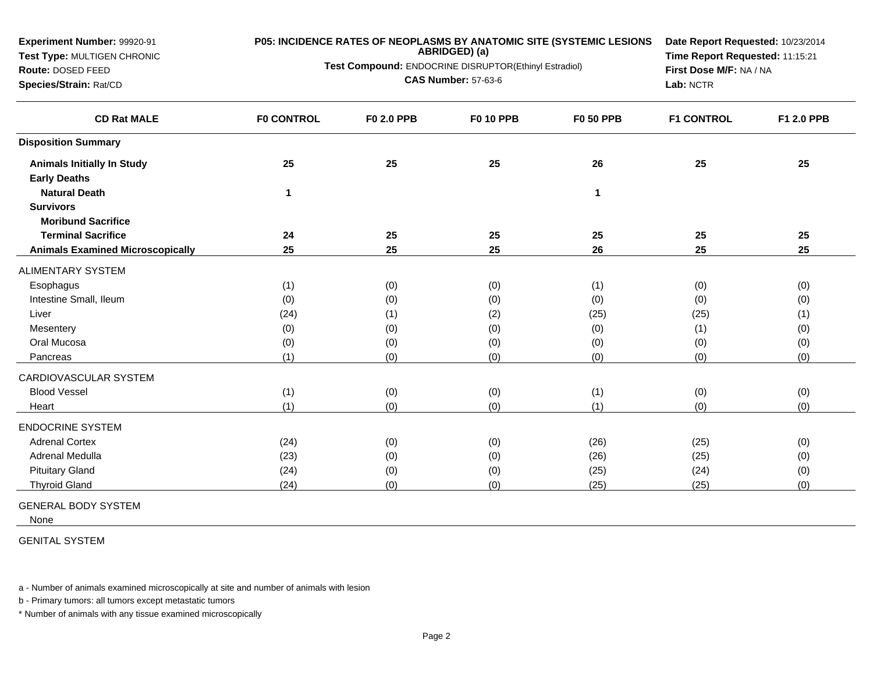| Experiment Number: 99920-91<br>P05: INCIDENCE RATES OF NEOPLASMS BY ANATOMIC SITE (SYSTEMIC LESIONS<br>ABRIDGED) (a)<br>Test Type: MULTIGEN CHRONIC<br>Test Compound: ENDOCRINE DISRUPTOR(Ethinyl Estradiol)<br>Route: DOSED FEED<br><b>CAS Number: 57-63-6</b><br>Species/Strain: Rat/CD |                   | Date Report Requested: 10/23/2014<br>Time Report Requested: 11:15:21<br>First Dose M/F: NA / NA<br>Lab: NCTR |                  |                  |                   |            |
|-------------------------------------------------------------------------------------------------------------------------------------------------------------------------------------------------------------------------------------------------------------------------------------------|-------------------|--------------------------------------------------------------------------------------------------------------|------------------|------------------|-------------------|------------|
| <b>CD Rat MALE</b>                                                                                                                                                                                                                                                                        | <b>F0 CONTROL</b> | F0 2.0 PPB                                                                                                   | <b>F0 10 PPB</b> | <b>F0 50 PPB</b> | <b>F1 CONTROL</b> | F1 2.0 PPB |
| <b>Disposition Summary</b>                                                                                                                                                                                                                                                                |                   |                                                                                                              |                  |                  |                   |            |
| <b>Animals Initially In Study</b>                                                                                                                                                                                                                                                         | 25                | 25                                                                                                           | 25               | 26               | 25                | 25         |
| <b>Early Deaths</b>                                                                                                                                                                                                                                                                       |                   |                                                                                                              |                  |                  |                   |            |
| <b>Natural Death</b>                                                                                                                                                                                                                                                                      | 1                 |                                                                                                              |                  | 1                |                   |            |
| <b>Survivors</b>                                                                                                                                                                                                                                                                          |                   |                                                                                                              |                  |                  |                   |            |
| <b>Moribund Sacrifice</b>                                                                                                                                                                                                                                                                 |                   |                                                                                                              |                  |                  |                   |            |
| <b>Terminal Sacrifice</b>                                                                                                                                                                                                                                                                 | 24                | 25                                                                                                           | 25               | 25               | 25                | 25         |
| <b>Animals Examined Microscopically</b>                                                                                                                                                                                                                                                   | 25                | 25                                                                                                           | 25               | 26               | 25                | 25         |
| ALIMENTARY SYSTEM                                                                                                                                                                                                                                                                         |                   |                                                                                                              |                  |                  |                   |            |
| Esophagus                                                                                                                                                                                                                                                                                 | (1)               | (0)                                                                                                          | (0)              | (1)              | (0)               | (0)        |
| Intestine Small, Ileum                                                                                                                                                                                                                                                                    | (0)               | (0)                                                                                                          | (0)              | (0)              | (0)               | (0)        |
| Liver                                                                                                                                                                                                                                                                                     | (24)              | (1)                                                                                                          | (2)              | (25)             | (25)              | (1)        |
| Mesentery                                                                                                                                                                                                                                                                                 | (0)               | (0)                                                                                                          | (0)              | (0)              | (1)               | (0)        |
| Oral Mucosa                                                                                                                                                                                                                                                                               | (0)               | (0)                                                                                                          | (0)              | (0)              | (0)               | (0)        |
| Pancreas                                                                                                                                                                                                                                                                                  | (1)               | (0)                                                                                                          | (0)              | (0)              | (0)               | (0)        |
| CARDIOVASCULAR SYSTEM                                                                                                                                                                                                                                                                     |                   |                                                                                                              |                  |                  |                   |            |
| <b>Blood Vessel</b>                                                                                                                                                                                                                                                                       | (1)               | (0)                                                                                                          | (0)              | (1)              | (0)               | (0)        |
| Heart                                                                                                                                                                                                                                                                                     | (1)               | (0)                                                                                                          | (0)              | (1)              | (0)               | (0)        |
| <b>ENDOCRINE SYSTEM</b>                                                                                                                                                                                                                                                                   |                   |                                                                                                              |                  |                  |                   |            |
| <b>Adrenal Cortex</b>                                                                                                                                                                                                                                                                     | (24)              | (0)                                                                                                          | (0)              | (26)             | (25)              | (0)        |
| <b>Adrenal Medulla</b>                                                                                                                                                                                                                                                                    | (23)              | (0)                                                                                                          | (0)              | (26)             | (25)              | (0)        |
| <b>Pituitary Gland</b>                                                                                                                                                                                                                                                                    | (24)              | (0)                                                                                                          | (0)              | (25)             | (24)              | (0)        |
| <b>Thyroid Gland</b>                                                                                                                                                                                                                                                                      | (24)              | (0)                                                                                                          | (0)              | (25)             | (25)              | (0)        |

GENERAL BODY SYSTEM

None

GENITAL SYSTEM

a - Number of animals examined microscopically at site and number of animals with lesion

b - Primary tumors: all tumors except metastatic tumors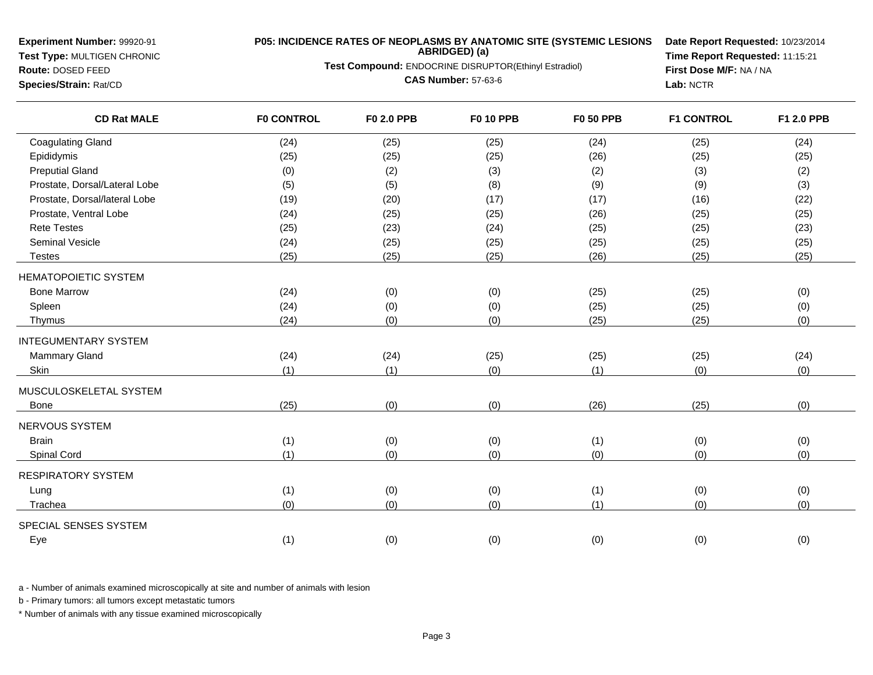**Test Type:** MULTIGEN CHRONIC**Route:** DOSED FEED

**Species/Strain:** Rat/CD

# **P05: INCIDENCE RATES OF NEOPLASMS BY ANATOMIC SITE (SYSTEMIC LESIONS ABRIDGED) (a)**

**Test Compound:** ENDOCRINE DISRUPTOR(Ethinyl Estradiol)

**CAS Number:** 57-63-6

**Date Report Requested:** 10/23/2014**Time Report Requested:** 11:15:21**First Dose M/F:** NA / NA**Lab:** NCTR

| <b>CD Rat MALE</b>            | <b>F0 CONTROL</b> | F0 2.0 PPB | <b>F0 10 PPB</b> | <b>F0 50 PPB</b> | <b>F1 CONTROL</b> | F1 2.0 PPB |
|-------------------------------|-------------------|------------|------------------|------------------|-------------------|------------|
| <b>Coagulating Gland</b>      | (24)              | (25)       | (25)             | (24)             | (25)              | (24)       |
| Epididymis                    | (25)              | (25)       | (25)             | (26)             | (25)              | (25)       |
| <b>Preputial Gland</b>        | (0)               | (2)        | (3)              | (2)              | (3)               | (2)        |
| Prostate, Dorsal/Lateral Lobe | (5)               | (5)        | (8)              | (9)              | (9)               | (3)        |
| Prostate, Dorsal/lateral Lobe | (19)              | (20)       | (17)             | (17)             | (16)              | (22)       |
| Prostate, Ventral Lobe        | (24)              | (25)       | (25)             | (26)             | (25)              | (25)       |
| <b>Rete Testes</b>            | (25)              | (23)       | (24)             | (25)             | (25)              | (23)       |
| <b>Seminal Vesicle</b>        | (24)              | (25)       | (25)             | (25)             | (25)              | (25)       |
| <b>Testes</b>                 | (25)              | (25)       | (25)             | (26)             | (25)              | (25)       |
| <b>HEMATOPOIETIC SYSTEM</b>   |                   |            |                  |                  |                   |            |
| <b>Bone Marrow</b>            | (24)              | (0)        | (0)              | (25)             | (25)              | (0)        |
| Spleen                        | (24)              | (0)        | (0)              | (25)             | (25)              | (0)        |
| Thymus                        | (24)              | (0)        | (0)              | (25)             | (25)              | (0)        |
| <b>INTEGUMENTARY SYSTEM</b>   |                   |            |                  |                  |                   |            |
| <b>Mammary Gland</b>          | (24)              | (24)       | (25)             | (25)             | (25)              | (24)       |
| Skin                          | (1)               | (1)        | (0)              | (1)              | (0)               | (0)        |
| MUSCULOSKELETAL SYSTEM        |                   |            |                  |                  |                   |            |
| Bone                          | (25)              | (0)        | (0)              | (26)             | (25)              | (0)        |
| <b>NERVOUS SYSTEM</b>         |                   |            |                  |                  |                   |            |
| <b>Brain</b>                  | (1)               | (0)        | (0)              | (1)              | (0)               | (0)        |
| Spinal Cord                   | (1)               | (0)        | (0)              | (0)              | (0)               | (0)        |
| <b>RESPIRATORY SYSTEM</b>     |                   |            |                  |                  |                   |            |
| Lung                          | (1)               | (0)        | (0)              | (1)              | (0)               | (0)        |
| Trachea                       | (0)               | (0)        | (0)              | (1)              | (0)               | (0)        |
| SPECIAL SENSES SYSTEM         |                   |            |                  |                  |                   |            |
| Eye                           | (1)               | (0)        | (0)              | (0)              | (0)               | (0)        |
|                               |                   |            |                  |                  |                   |            |

a - Number of animals examined microscopically at site and number of animals with lesion

b - Primary tumors: all tumors except metastatic tumors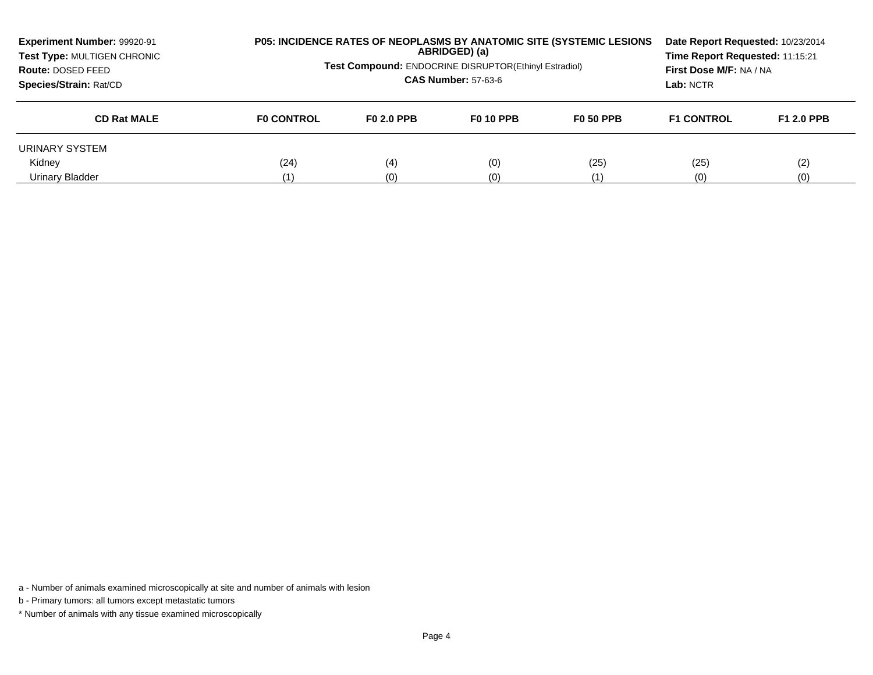| Experiment Number: 99920-91<br>Test Type: MULTIGEN CHRONIC<br>Route: DOSED FEED<br>Species/Strain: Rat/CD |                   | <b>P05: INCIDENCE RATES OF NEOPLASMS BY ANATOMIC SITE (SYSTEMIC LESIONS)</b><br>Date Report Requested: 10/23/2014<br>ABRIDGED) (a)<br>Time Report Requested: 11:15:21<br><b>Test Compound: ENDOCRINE DISRUPTOR(Ethinyl Estradiol)</b><br>First Dose M/F: NA / NA<br><b>CAS Number: 57-63-6</b><br>Lab: NCTR |                  |                  |                   |                   |
|-----------------------------------------------------------------------------------------------------------|-------------------|-------------------------------------------------------------------------------------------------------------------------------------------------------------------------------------------------------------------------------------------------------------------------------------------------------------|------------------|------------------|-------------------|-------------------|
| <b>CD Rat MALE</b>                                                                                        | <b>FO CONTROL</b> | F0 2.0 PPB                                                                                                                                                                                                                                                                                                  | <b>F0 10 PPB</b> | <b>F0 50 PPB</b> | <b>F1 CONTROL</b> | <b>F1 2.0 PPB</b> |
| URINARY SYSTEM                                                                                            |                   |                                                                                                                                                                                                                                                                                                             |                  |                  |                   |                   |
| Kidney                                                                                                    | (24)              | (4)                                                                                                                                                                                                                                                                                                         | (0)              | (25)             | (25)              | (2)               |
| Urinary Bladder                                                                                           | (1)               | (0)                                                                                                                                                                                                                                                                                                         | (0)              | (1)              | (0)               | (0)               |

a - Number of animals examined microscopically at site and number of animals with lesion

b - Primary tumors: all tumors except metastatic tumors

\* Number of animals with any tissue examined microscopically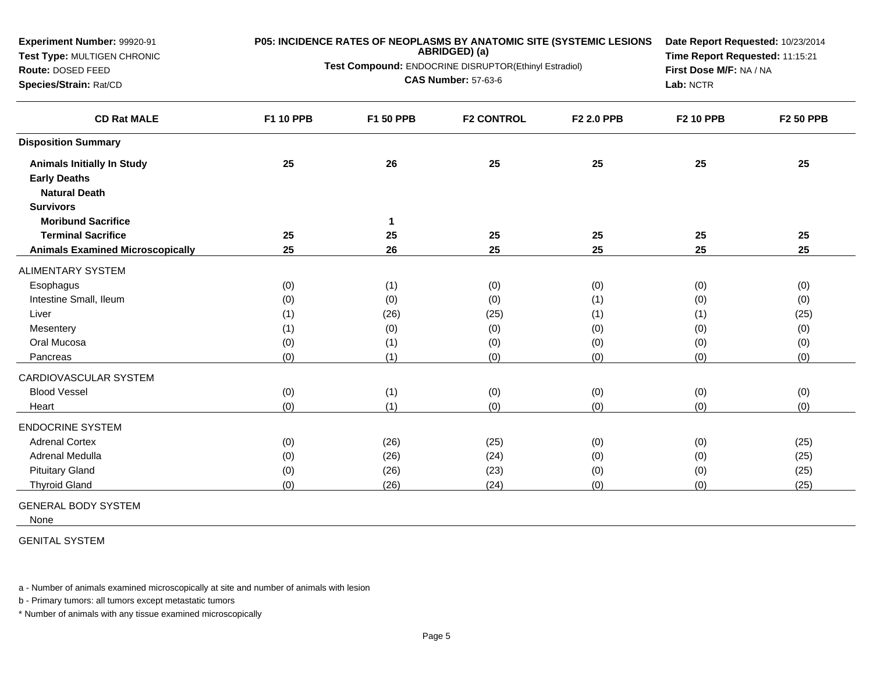| Experiment Number: 99920-91<br>Test Type: MULTIGEN CHRONIC<br>Route: DOSED FEED<br>Species/Strain: Rat/CD | P05: INCIDENCE RATES OF NEOPLASMS BY ANATOMIC SITE (SYSTEMIC LESIONS<br>ABRIDGED) (a)<br>Test Compound: ENDOCRINE DISRUPTOR(Ethinyl Estradiol)<br><b>CAS Number: 57-63-6</b> |             |                   | Date Report Requested: 10/23/2014<br>Time Report Requested: 11:15:21<br>First Dose M/F: NA / NA<br>Lab: NCTR |                  |                  |
|-----------------------------------------------------------------------------------------------------------|------------------------------------------------------------------------------------------------------------------------------------------------------------------------------|-------------|-------------------|--------------------------------------------------------------------------------------------------------------|------------------|------------------|
| <b>CD Rat MALE</b>                                                                                        | F1 10 PPB                                                                                                                                                                    | F1 50 PPB   | <b>F2 CONTROL</b> | F2 2.0 PPB                                                                                                   | <b>F2 10 PPB</b> | <b>F2 50 PPB</b> |
| <b>Disposition Summary</b>                                                                                |                                                                                                                                                                              |             |                   |                                                                                                              |                  |                  |
| <b>Animals Initially In Study</b>                                                                         | 25                                                                                                                                                                           | 26          | 25                | 25                                                                                                           | 25               | 25               |
| <b>Early Deaths</b>                                                                                       |                                                                                                                                                                              |             |                   |                                                                                                              |                  |                  |
| <b>Natural Death</b>                                                                                      |                                                                                                                                                                              |             |                   |                                                                                                              |                  |                  |
| <b>Survivors</b>                                                                                          |                                                                                                                                                                              |             |                   |                                                                                                              |                  |                  |
| <b>Moribund Sacrifice</b>                                                                                 |                                                                                                                                                                              | $\mathbf 1$ |                   |                                                                                                              |                  |                  |
| <b>Terminal Sacrifice</b>                                                                                 | 25                                                                                                                                                                           | 25          | 25                | 25                                                                                                           | 25               | 25               |
| <b>Animals Examined Microscopically</b>                                                                   | 25                                                                                                                                                                           | 26          | 25                | 25                                                                                                           | 25               | 25               |
| <b>ALIMENTARY SYSTEM</b>                                                                                  |                                                                                                                                                                              |             |                   |                                                                                                              |                  |                  |
| Esophagus                                                                                                 | (0)                                                                                                                                                                          | (1)         | (0)               | (0)                                                                                                          | (0)              | (0)              |
| Intestine Small, Ileum                                                                                    | (0)                                                                                                                                                                          | (0)         | (0)               | (1)                                                                                                          | (0)              | (0)              |
| Liver                                                                                                     | (1)                                                                                                                                                                          | (26)        | (25)              | (1)                                                                                                          | (1)              | (25)             |
| Mesentery                                                                                                 | (1)                                                                                                                                                                          | (0)         | (0)               | (0)                                                                                                          | (0)              | (0)              |
| Oral Mucosa                                                                                               | (0)                                                                                                                                                                          | (1)         | (0)               | (0)                                                                                                          | (0)              | (0)              |
| Pancreas                                                                                                  | (0)                                                                                                                                                                          | (1)         | (0)               | (0)                                                                                                          | (0)              | (0)              |
| CARDIOVASCULAR SYSTEM                                                                                     |                                                                                                                                                                              |             |                   |                                                                                                              |                  |                  |
| <b>Blood Vessel</b>                                                                                       | (0)                                                                                                                                                                          | (1)         | (0)               | (0)                                                                                                          | (0)              | (0)              |
| Heart                                                                                                     | (0)                                                                                                                                                                          | (1)         | (0)               | (0)                                                                                                          | (0)              | (0)              |
| <b>ENDOCRINE SYSTEM</b>                                                                                   |                                                                                                                                                                              |             |                   |                                                                                                              |                  |                  |
| <b>Adrenal Cortex</b>                                                                                     | (0)                                                                                                                                                                          | (26)        | (25)              | (0)                                                                                                          | (0)              | (25)             |
| Adrenal Medulla                                                                                           | (0)                                                                                                                                                                          | (26)        | (24)              | (0)                                                                                                          | (0)              | (25)             |
| <b>Pituitary Gland</b>                                                                                    | (0)                                                                                                                                                                          | (26)        | (23)              | (0)                                                                                                          | (0)              | (25)             |
| <b>Thyroid Gland</b>                                                                                      | (0)                                                                                                                                                                          | (26)        | (24)              | (0)                                                                                                          | (0)              | (25)             |

GENERAL BODY SYSTEM

None

GENITAL SYSTEM

a - Number of animals examined microscopically at site and number of animals with lesion

b - Primary tumors: all tumors except metastatic tumors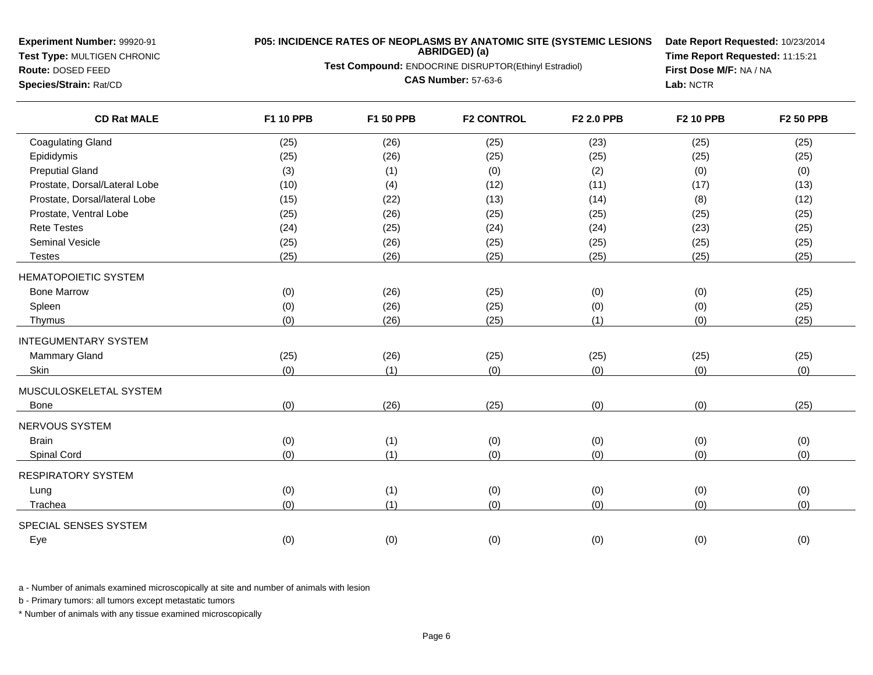**Test Type:** MULTIGEN CHRONIC**Route:** DOSED FEED

# **P05: INCIDENCE RATES OF NEOPLASMS BY ANATOMIC SITE (SYSTEMIC LESIONS ABRIDGED) (a)**

**Test Compound:** ENDOCRINE DISRUPTOR(Ethinyl Estradiol)

**CAS Number:** 57-63-6

**Date Report Requested:** 10/23/2014**Time Report Requested:** 11:15:21**First Dose M/F:** NA / NA**Lab:** NCTR

|  |  | Species/Strain: Rat/CD |  |
|--|--|------------------------|--|
|  |  |                        |  |

| <b>Coagulating Gland</b><br>(26)<br>(25)<br>(23)<br>(25)<br>(25)<br>Epididymis<br>(25)<br>(26)<br>(25)<br>(25)<br>(25)<br><b>Preputial Gland</b><br>(2)<br>(3)<br>(1)<br>(0)<br>(0)<br>Prostate, Dorsal/Lateral Lobe<br>(4)<br>(12)<br>(11)<br>(17)<br>(10) | (25)<br>(25)<br>(0)<br>(13)<br>(12)<br>(25) |
|-------------------------------------------------------------------------------------------------------------------------------------------------------------------------------------------------------------------------------------------------------------|---------------------------------------------|
|                                                                                                                                                                                                                                                             |                                             |
|                                                                                                                                                                                                                                                             |                                             |
|                                                                                                                                                                                                                                                             |                                             |
|                                                                                                                                                                                                                                                             |                                             |
| Prostate, Dorsal/lateral Lobe<br>(22)<br>(14)<br>(8)<br>(15)<br>(13)                                                                                                                                                                                        |                                             |
| Prostate, Ventral Lobe<br>(25)<br>(26)<br>(25)<br>(25)<br>(25)                                                                                                                                                                                              |                                             |
| <b>Rete Testes</b><br>(24)<br>(24)<br>(23)<br>(25)<br>(24)                                                                                                                                                                                                  | (25)                                        |
| <b>Seminal Vesicle</b><br>(26)<br>(25)<br>(25)<br>(25)<br>(25)                                                                                                                                                                                              | (25)                                        |
| (25)<br>(26)<br>(25)<br>(25)<br>(25)<br><b>Testes</b>                                                                                                                                                                                                       | (25)                                        |
| <b>HEMATOPOIETIC SYSTEM</b>                                                                                                                                                                                                                                 |                                             |
| <b>Bone Marrow</b><br>(26)<br>(0)<br>(0)<br>(25)<br>(0)                                                                                                                                                                                                     | (25)                                        |
| (0)<br>Spleen<br>(0)<br>(26)<br>(25)<br>(0)                                                                                                                                                                                                                 | (25)                                        |
| (0)<br>(26)<br>(1)<br>(0)<br>Thymus<br>(25)                                                                                                                                                                                                                 | (25)                                        |
| <b>INTEGUMENTARY SYSTEM</b>                                                                                                                                                                                                                                 |                                             |
| <b>Mammary Gland</b><br>(25)<br>(26)<br>(25)<br>(25)<br>(25)                                                                                                                                                                                                | (25)                                        |
| Skin<br>(0)<br>(1)<br>(0)<br>(0)<br>(0)                                                                                                                                                                                                                     | (0)                                         |
| MUSCULOSKELETAL SYSTEM                                                                                                                                                                                                                                      |                                             |
| (26)<br>(25)<br>(0)<br>(0)<br>(0)<br>Bone                                                                                                                                                                                                                   | (25)                                        |
| NERVOUS SYSTEM                                                                                                                                                                                                                                              |                                             |
| <b>Brain</b><br>(1)<br>(0)<br>(0)<br>(0)<br>(0)                                                                                                                                                                                                             | (0)                                         |
| (0)<br>(1)<br>(0)<br>(0)<br>(0)<br>Spinal Cord                                                                                                                                                                                                              | (0)                                         |
| <b>RESPIRATORY SYSTEM</b>                                                                                                                                                                                                                                   |                                             |
| (1)<br>(0)<br>(0)<br>(0)<br>(0)<br>Lung                                                                                                                                                                                                                     | (0)                                         |
| (0)<br>(1)<br>(0)<br>(0)<br>(0)<br>Trachea                                                                                                                                                                                                                  | (0)                                         |
| SPECIAL SENSES SYSTEM                                                                                                                                                                                                                                       |                                             |
| (0)<br>(0)<br>(0)<br>(0)<br>(0)<br>Eye                                                                                                                                                                                                                      | (0)                                         |

a - Number of animals examined microscopically at site and number of animals with lesion

b - Primary tumors: all tumors except metastatic tumors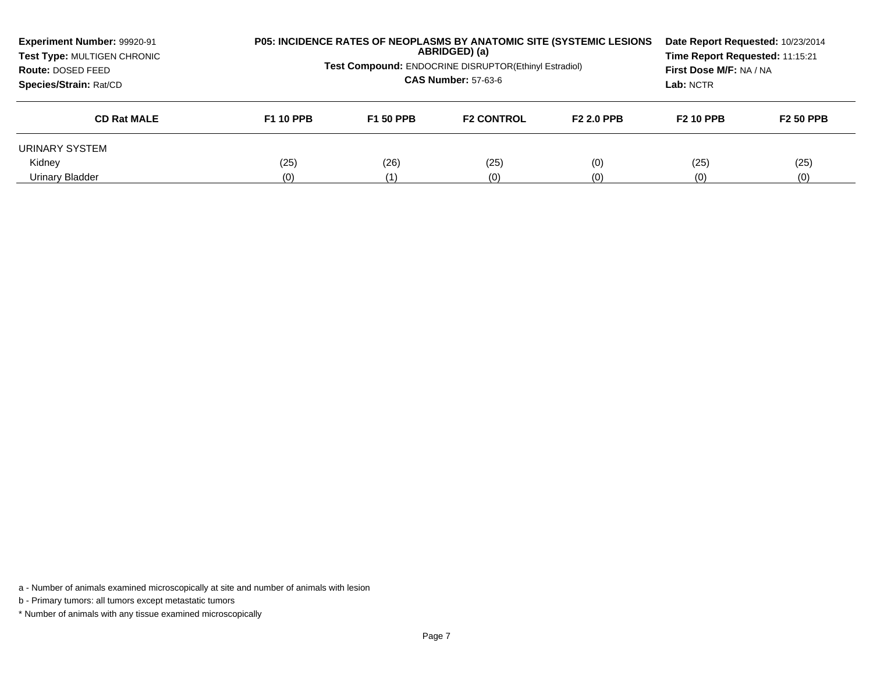| Experiment Number: 99920-91<br>Test Type: MULTIGEN CHRONIC<br>Route: DOSED FEED<br>Species/Strain: Rat/CD | P05: INCIDENCE RATES OF NEOPLASMS BY ANATOMIC SITE (SYSTEMIC LESIONS<br>ABRIDGED) (a)<br><b>Test Compound: ENDOCRINE DISRUPTOR(Ethinyl Estradiol)</b><br><b>CAS Number: 57-63-6</b> |                  |                   |                   |                  | Time Report Requested: 11:15:21<br>First Dose M/F: NA / NA<br>Lab: NCTR |  | Date Report Requested: 10/23/2014 |  |
|-----------------------------------------------------------------------------------------------------------|-------------------------------------------------------------------------------------------------------------------------------------------------------------------------------------|------------------|-------------------|-------------------|------------------|-------------------------------------------------------------------------|--|-----------------------------------|--|
| <b>CD Rat MALE</b>                                                                                        | <b>F1 10 PPB</b>                                                                                                                                                                    | <b>F1 50 PPB</b> | <b>F2 CONTROL</b> | <b>F2 2.0 PPB</b> | <b>F2 10 PPB</b> | <b>F2 50 PPB</b>                                                        |  |                                   |  |
| URINARY SYSTEM                                                                                            |                                                                                                                                                                                     |                  |                   |                   |                  |                                                                         |  |                                   |  |
| Kidnev                                                                                                    | (25)                                                                                                                                                                                | (26)             | (25)              | (0)               | (25)             | (25)                                                                    |  |                                   |  |
| Urinary Bladder                                                                                           | (0)                                                                                                                                                                                 | (1)              | (0)               | (0)               | (0)              | (0)                                                                     |  |                                   |  |

b - Primary tumors: all tumors except metastatic tumors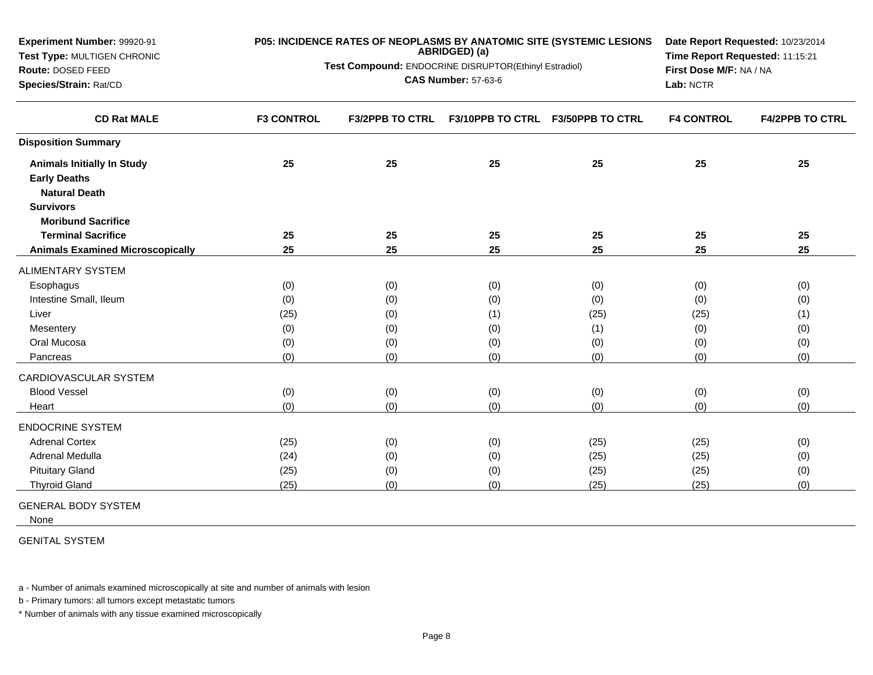| Experiment Number: 99920-91<br>P05: INCIDENCE RATES OF NEOPLASMS BY ANATOMIC SITE (SYSTEMIC LESIONS<br>ABRIDGED) (a)<br>Test Type: MULTIGEN CHRONIC<br>Test Compound: ENDOCRINE DISRUPTOR(Ethinyl Estradiol)<br>Route: DOSED FEED<br><b>CAS Number: 57-63-6</b><br>Species/Strain: Rat/CD |                   |                        | Date Report Requested: 10/23/2014<br>Time Report Requested: 11:15:21<br>First Dose M/F: NA / NA<br>Lab: NCTR |                  |                   |                        |
|-------------------------------------------------------------------------------------------------------------------------------------------------------------------------------------------------------------------------------------------------------------------------------------------|-------------------|------------------------|--------------------------------------------------------------------------------------------------------------|------------------|-------------------|------------------------|
| <b>CD Rat MALE</b>                                                                                                                                                                                                                                                                        | <b>F3 CONTROL</b> | <b>F3/2PPB TO CTRL</b> | <b>F3/10PPB TO CTRL</b>                                                                                      | F3/50PPB TO CTRL | <b>F4 CONTROL</b> | <b>F4/2PPB TO CTRL</b> |
| <b>Disposition Summary</b>                                                                                                                                                                                                                                                                |                   |                        |                                                                                                              |                  |                   |                        |
| <b>Animals Initially In Study</b>                                                                                                                                                                                                                                                         | 25                | 25                     | 25                                                                                                           | 25               | 25                | 25                     |
| <b>Early Deaths</b>                                                                                                                                                                                                                                                                       |                   |                        |                                                                                                              |                  |                   |                        |
| <b>Natural Death</b>                                                                                                                                                                                                                                                                      |                   |                        |                                                                                                              |                  |                   |                        |
| <b>Survivors</b>                                                                                                                                                                                                                                                                          |                   |                        |                                                                                                              |                  |                   |                        |
| <b>Moribund Sacrifice</b>                                                                                                                                                                                                                                                                 |                   |                        |                                                                                                              |                  |                   |                        |
| <b>Terminal Sacrifice</b>                                                                                                                                                                                                                                                                 | 25                | 25                     | 25                                                                                                           | 25               | 25                | 25                     |
| <b>Animals Examined Microscopically</b>                                                                                                                                                                                                                                                   | 25                | 25                     | 25                                                                                                           | 25               | 25                | 25                     |
| <b>ALIMENTARY SYSTEM</b>                                                                                                                                                                                                                                                                  |                   |                        |                                                                                                              |                  |                   |                        |
| Esophagus                                                                                                                                                                                                                                                                                 | (0)               | (0)                    | (0)                                                                                                          | (0)              | (0)               | (0)                    |
| Intestine Small, Ileum                                                                                                                                                                                                                                                                    | (0)               | (0)                    | (0)                                                                                                          | (0)              | (0)               | (0)                    |
| Liver                                                                                                                                                                                                                                                                                     | (25)              | (0)                    | (1)                                                                                                          | (25)             | (25)              | (1)                    |
| Mesentery                                                                                                                                                                                                                                                                                 | (0)               | (0)                    | (0)                                                                                                          | (1)              | (0)               | (0)                    |
| Oral Mucosa                                                                                                                                                                                                                                                                               | (0)               | (0)                    | (0)                                                                                                          | (0)              | (0)               | (0)                    |
| Pancreas                                                                                                                                                                                                                                                                                  | (0)               | (0)                    | (0)                                                                                                          | (0)              | (0)               | (0)                    |
| CARDIOVASCULAR SYSTEM                                                                                                                                                                                                                                                                     |                   |                        |                                                                                                              |                  |                   |                        |
| <b>Blood Vessel</b>                                                                                                                                                                                                                                                                       | (0)               | (0)                    | (0)                                                                                                          | (0)              | (0)               | (0)                    |
| Heart                                                                                                                                                                                                                                                                                     | (0)               | (0)                    | (0)                                                                                                          | (0)              | (0)               | (0)                    |
| <b>ENDOCRINE SYSTEM</b>                                                                                                                                                                                                                                                                   |                   |                        |                                                                                                              |                  |                   |                        |
| <b>Adrenal Cortex</b>                                                                                                                                                                                                                                                                     | (25)              | (0)                    | (0)                                                                                                          | (25)             | (25)              | (0)                    |
| Adrenal Medulla                                                                                                                                                                                                                                                                           | (24)              | (0)                    | (0)                                                                                                          | (25)             | (25)              | (0)                    |
| <b>Pituitary Gland</b>                                                                                                                                                                                                                                                                    | (25)              | (0)                    | (0)                                                                                                          | (25)             | (25)              | (0)                    |
| <b>Thyroid Gland</b>                                                                                                                                                                                                                                                                      | (25)              | (0)                    | (0)                                                                                                          | (25)             | (25)              | (0)                    |

GENERAL BODY SYSTEM

None

GENITAL SYSTEM

a - Number of animals examined microscopically at site and number of animals with lesion

b - Primary tumors: all tumors except metastatic tumors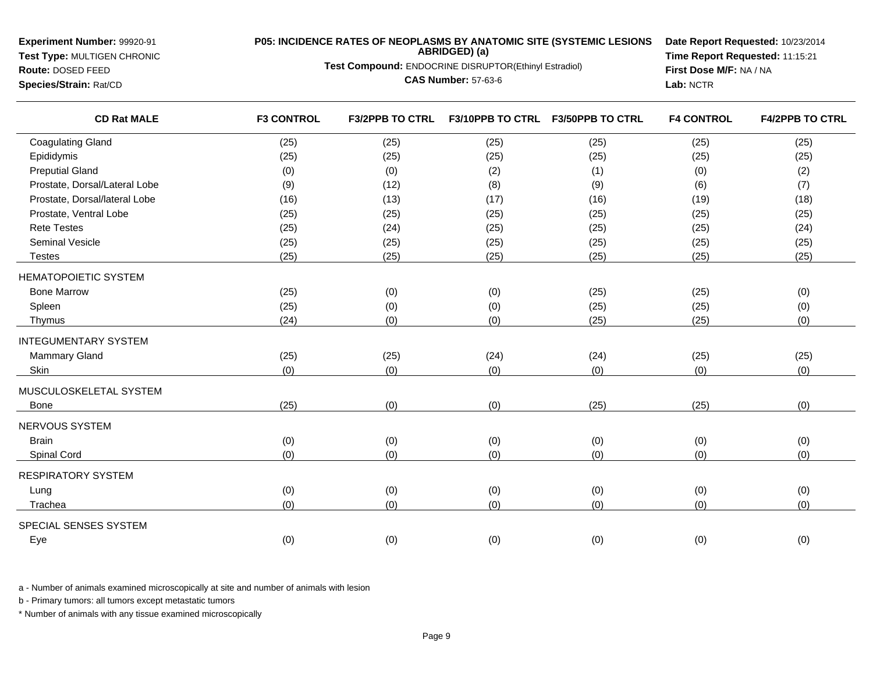**Experiment Number:** 99920-91**Test Type:** MULTIGEN CHRONIC

**Route:** DOSED FEED**Species/Strain:** Rat/CD

# **P05: INCIDENCE RATES OF NEOPLASMS BY ANATOMIC SITE (SYSTEMIC LESIONS ABRIDGED) (a)**

**Test Compound:** ENDOCRINE DISRUPTOR(Ethinyl Estradiol)

**CAS Number:** 57-63-6

**Date Report Requested:** 10/23/2014**Time Report Requested:** 11:15:21**First Dose M/F:** NA / NA**Lab:** NCTR

| <b>CD Rat MALE</b>            | <b>F3 CONTROL</b> | <b>F3/2PPB TO CTRL</b> | <b>F3/10PPB TO CTRL</b> | <b>F3/50PPB TO CTRL</b> | <b>F4 CONTROL</b> | <b>F4/2PPB TO CTRL</b> |
|-------------------------------|-------------------|------------------------|-------------------------|-------------------------|-------------------|------------------------|
| <b>Coagulating Gland</b>      | (25)              | (25)                   | (25)                    | (25)                    | (25)              | (25)                   |
| Epididymis                    | (25)              | (25)                   | (25)                    | (25)                    | (25)              | (25)                   |
| <b>Preputial Gland</b>        | (0)               | (0)                    | (2)                     | (1)                     | (0)               | (2)                    |
| Prostate, Dorsal/Lateral Lobe | (9)               | (12)                   | (8)                     | (9)                     | (6)               | (7)                    |
| Prostate, Dorsal/lateral Lobe | (16)              | (13)                   | (17)                    | (16)                    | (19)              | (18)                   |
| Prostate, Ventral Lobe        | (25)              | (25)                   | (25)                    | (25)                    | (25)              | (25)                   |
| <b>Rete Testes</b>            | (25)              | (24)                   | (25)                    | (25)                    | (25)              | (24)                   |
| Seminal Vesicle               | (25)              | (25)                   | (25)                    | (25)                    | (25)              | (25)                   |
| <b>Testes</b>                 | (25)              | (25)                   | (25)                    | (25)                    | (25)              | (25)                   |
| <b>HEMATOPOIETIC SYSTEM</b>   |                   |                        |                         |                         |                   |                        |
| <b>Bone Marrow</b>            | (25)              | (0)                    | (0)                     | (25)                    | (25)              | (0)                    |
| Spleen                        | (25)              | (0)                    | (0)                     | (25)                    | (25)              | (0)                    |
| Thymus                        | (24)              | (0)                    | (0)                     | (25)                    | (25)              | (0)                    |
| <b>INTEGUMENTARY SYSTEM</b>   |                   |                        |                         |                         |                   |                        |
| <b>Mammary Gland</b>          | (25)              | (25)                   | (24)                    | (24)                    | (25)              | (25)                   |
| Skin                          | (0)               | (0)                    | (0)                     | (0)                     | (0)               | (0)                    |
| MUSCULOSKELETAL SYSTEM        |                   |                        |                         |                         |                   |                        |
| Bone                          | (25)              | (0)                    | (0)                     | (25)                    | (25)              | (0)                    |
| NERVOUS SYSTEM                |                   |                        |                         |                         |                   |                        |
| <b>Brain</b>                  | (0)               | (0)                    | (0)                     | (0)                     | (0)               | (0)                    |
| Spinal Cord                   | (0)               | (0)                    | (0)                     | (0)                     | (0)               | (0)                    |
| <b>RESPIRATORY SYSTEM</b>     |                   |                        |                         |                         |                   |                        |
| Lung                          | (0)               | (0)                    | (0)                     | (0)                     | (0)               | (0)                    |
| Trachea                       | (0)               | (0)                    | (0)                     | (0)                     | (0)               | (0)                    |
| SPECIAL SENSES SYSTEM         |                   |                        |                         |                         |                   |                        |
| Eye                           | (0)               | (0)                    | (0)                     | (0)                     | (0)               | (0)                    |

a - Number of animals examined microscopically at site and number of animals with lesion

b - Primary tumors: all tumors except metastatic tumors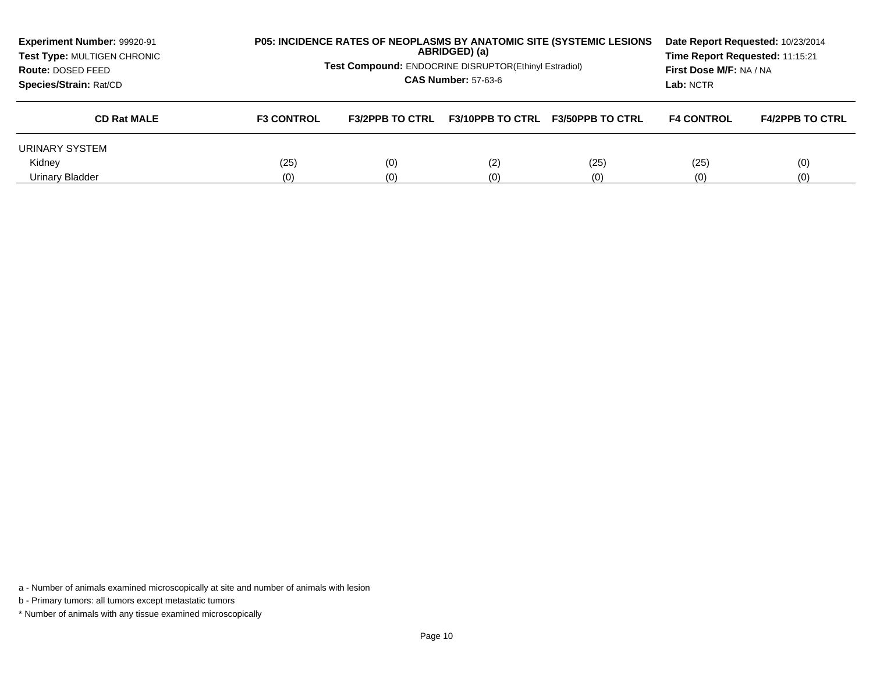| Experiment Number: 99920-91<br>Test Type: MULTIGEN CHRONIC<br>Route: DOSED FEED<br>Species/Strain: Rat/CD |                   | <b>P05: INCIDENCE RATES OF NEOPLASMS BY ANATOMIC SITE (SYSTEMIC LESIONS)</b><br>Date Report Requested: 10/23/2014<br>ABRIDGED) (a)<br>Time Report Requested: 11:15:21<br><b>Test Compound: ENDOCRINE DISRUPTOR(Ethinyl Estradiol)</b><br>First Dose M/F: NA / NA<br><b>CAS Number: 57-63-6</b><br>Lab: NCTR |                         |                         |                   |                        |
|-----------------------------------------------------------------------------------------------------------|-------------------|-------------------------------------------------------------------------------------------------------------------------------------------------------------------------------------------------------------------------------------------------------------------------------------------------------------|-------------------------|-------------------------|-------------------|------------------------|
| <b>CD Rat MALE</b>                                                                                        | <b>F3 CONTROL</b> | <b>F3/2PPB TO CTRL</b>                                                                                                                                                                                                                                                                                      | <b>F3/10PPB TO CTRL</b> | <b>F3/50PPB TO CTRL</b> | <b>F4 CONTROL</b> | <b>F4/2PPB TO CTRL</b> |
| URINARY SYSTEM                                                                                            |                   |                                                                                                                                                                                                                                                                                                             |                         |                         |                   |                        |
| Kidnev                                                                                                    | (25)              | (0)                                                                                                                                                                                                                                                                                                         | (2)                     | (25)                    | (25)              | (0)                    |
| Urinary Bladder                                                                                           | (0)               | (0)                                                                                                                                                                                                                                                                                                         | (0)                     | (0)                     | (0)               | (0)                    |

b - Primary tumors: all tumors except metastatic tumors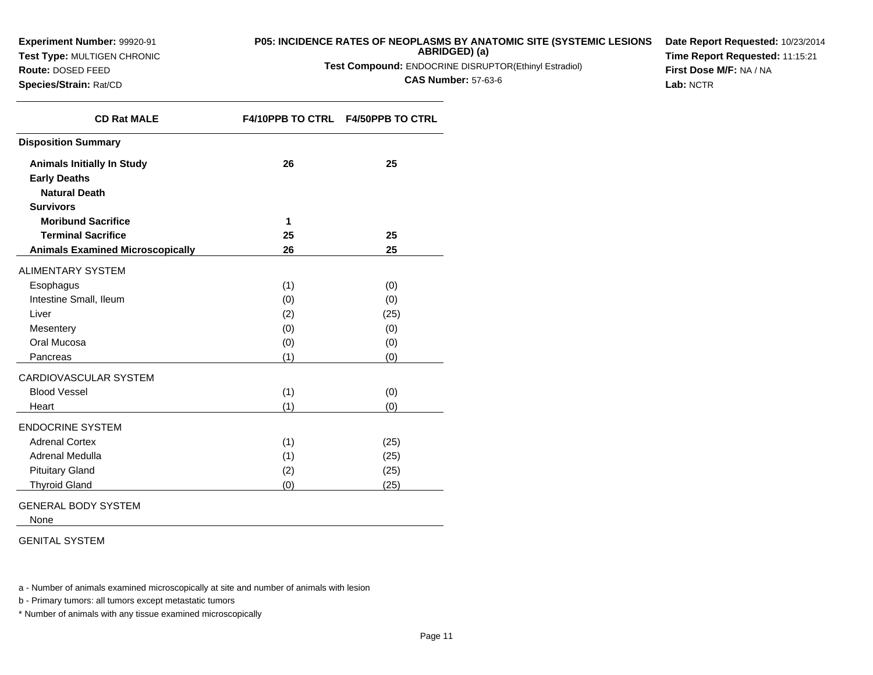**Test Type:** MULTIGEN CHRONIC

**Route:** DOSED FEED**Species/Strain:** Rat/CD

# **P05: INCIDENCE RATES OF NEOPLASMS BY ANATOMIC SITE (SYSTEMIC LESIONS**

**ABRIDGED) (a)**

**Test Compound:** ENDOCRINE DISRUPTOR(Ethinyl Estradiol)

**CAS Number:** 57-63-6

**Date Report Requested:** 10/23/2014**Time Report Requested:** 11:15:21**First Dose M/F:** NA / NA**Lab:** NCTR

| <b>CD Rat MALE</b>                      |     | F4/10PPB TO CTRL F4/50PPB TO CTRL |
|-----------------------------------------|-----|-----------------------------------|
| <b>Disposition Summary</b>              |     |                                   |
| <b>Animals Initially In Study</b>       | 26  | 25                                |
| <b>Early Deaths</b>                     |     |                                   |
| <b>Natural Death</b>                    |     |                                   |
| <b>Survivors</b>                        |     |                                   |
| <b>Moribund Sacrifice</b>               | 1   |                                   |
| <b>Terminal Sacrifice</b>               | 25  | 25                                |
| <b>Animals Examined Microscopically</b> | 26  | 25                                |
| <b>ALIMENTARY SYSTEM</b>                |     |                                   |
| Esophagus                               | (1) | (0)                               |
| Intestine Small, Ileum                  | (0) | (0)                               |
| Liver                                   | (2) | (25)                              |
| Mesentery                               | (0) | (0)                               |
| Oral Mucosa                             | (0) | (0)                               |
| Pancreas                                | (1) | (0)                               |
| CARDIOVASCULAR SYSTEM                   |     |                                   |
| <b>Blood Vessel</b>                     | (1) | (0)                               |
| Heart                                   | (1) | (0)                               |
| <b>ENDOCRINE SYSTEM</b>                 |     |                                   |
| <b>Adrenal Cortex</b>                   | (1) | (25)                              |
| Adrenal Medulla                         | (1) | (25)                              |
| <b>Pituitary Gland</b>                  | (2) | (25)                              |
| <b>Thyroid Gland</b>                    | (0) | (25)                              |

GENERAL BODY SYSTEM

None

GENITAL SYSTEM

a - Number of animals examined microscopically at site and number of animals with lesion

b - Primary tumors: all tumors except metastatic tumors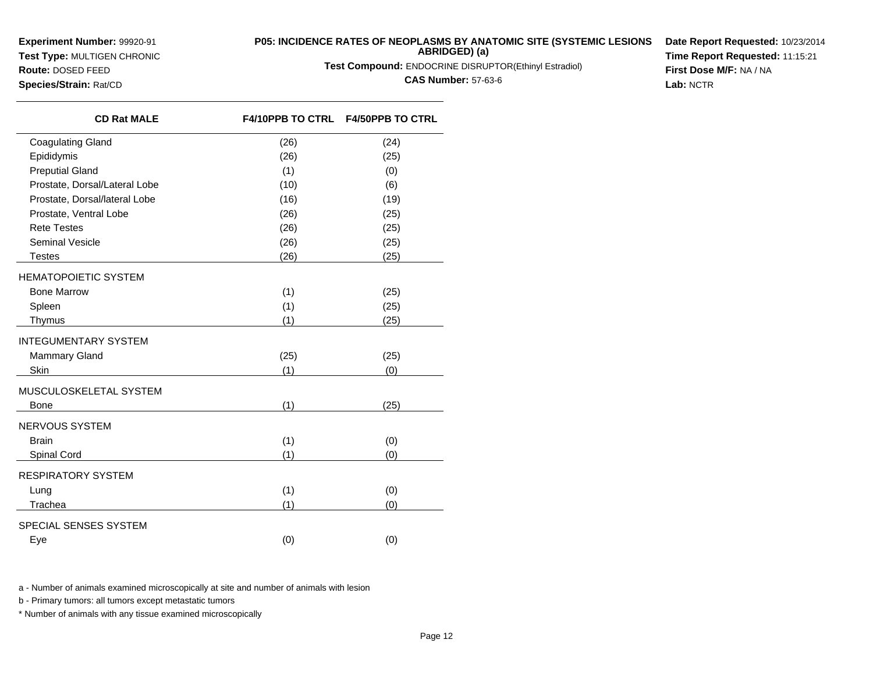**Test Type:** MULTIGEN CHRONIC**Route:** DOSED FEED

# **P05: INCIDENCE RATES OF NEOPLASMS BY ANATOMIC SITE (SYSTEMIC LESIONS ABRIDGED) (a)**

**Test Compound:** ENDOCRINE DISRUPTOR(Ethinyl Estradiol)

**CAS Number:** 57-63-6

**Date Report Requested:** 10/23/2014**Time Report Requested:** 11:15:21**First Dose M/F:** NA / NA**Lab:** NCTR

| Species/Strain: Rat/CD |  |  |
|------------------------|--|--|
|------------------------|--|--|

| <b>CD Rat MALE</b>            |      | F4/10PPB TO CTRL F4/50PPB TO CTRL |
|-------------------------------|------|-----------------------------------|
| <b>Coagulating Gland</b>      | (26) | (24)                              |
| Epididymis                    | (26) | (25)                              |
| <b>Preputial Gland</b>        | (1)  | (0)                               |
| Prostate, Dorsal/Lateral Lobe | (10) | (6)                               |
| Prostate, Dorsal/lateral Lobe | (16) | (19)                              |
| Prostate, Ventral Lobe        | (26) | (25)                              |
| <b>Rete Testes</b>            | (26) | (25)                              |
| Seminal Vesicle               | (26) | (25)                              |
| <b>Testes</b>                 | (26) | (25)                              |
| HEMATOPOIETIC SYSTEM          |      |                                   |
| <b>Bone Marrow</b>            | (1)  | (25)                              |
| Spleen                        | (1)  | (25)                              |
| Thymus                        | (1)  | (25)                              |
| INTEGUMENTARY SYSTEM          |      |                                   |
| <b>Mammary Gland</b>          | (25) | (25)                              |
| Skin                          | (1)  | (0)                               |
| MUSCULOSKELETAL SYSTEM        |      |                                   |
| <b>Bone</b>                   | (1)  | (25)                              |
| NERVOUS SYSTEM                |      |                                   |
| <b>Brain</b>                  | (1)  | (0)                               |
| Spinal Cord                   | (1)  | (0)                               |
| RESPIRATORY SYSTEM            |      |                                   |
| Lung                          | (1)  | (0)                               |
| Trachea                       | (1)  | (0)                               |
| SPECIAL SENSES SYSTEM         |      |                                   |
| Eye                           | (0)  | (0)                               |
|                               |      |                                   |

a - Number of animals examined microscopically at site and number of animals with lesion

b - Primary tumors: all tumors except metastatic tumors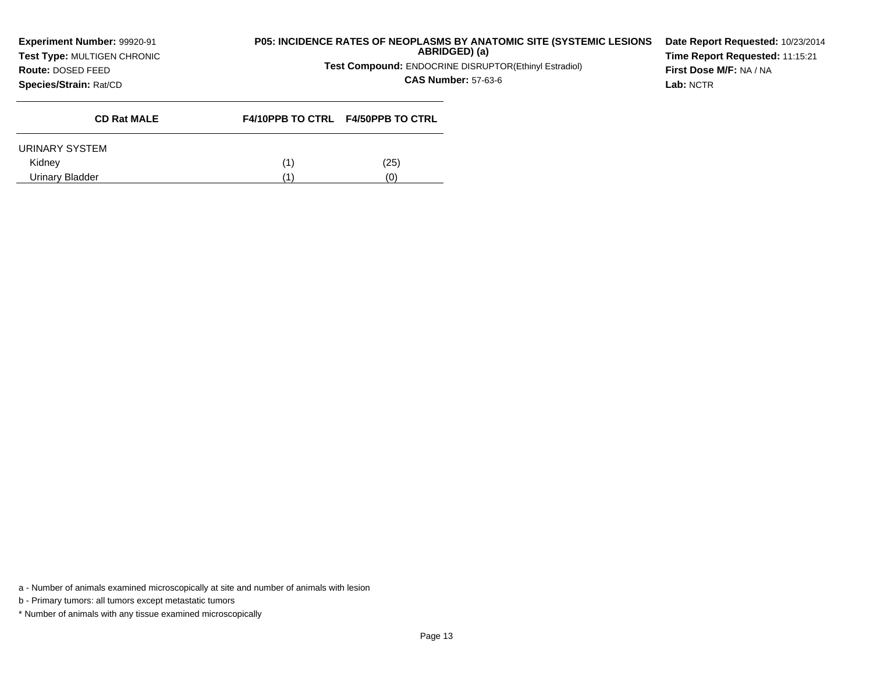**Test Type:** MULTIGEN CHRONIC

## **P05: INCIDENCE RATES OF NEOPLASMS BY ANATOMIC SITE (SYSTEMIC LESIONSABRIDGED) (a)**

**Test Compound:** ENDOCRINE DISRUPTOR(Ethinyl Estradiol)

**CAS Number:** 57-63-6

**Date Report Requested:** 10/23/2014**Time Report Requested:** 11:15:21**First Dose M/F:** NA / NA**Lab:** NCTR

**Species/Strain:** Rat/CD

**Route:** DOSED FEED

|     | <b>F4/10PPB TO CTRL F4/50PPB TO CTRL</b> |
|-----|------------------------------------------|
|     |                                          |
| (1) | (25)                                     |
| (1' | U                                        |
|     |                                          |

a - Number of animals examined microscopically at site and number of animals with lesion

b - Primary tumors: all tumors except metastatic tumors

\* Number of animals with any tissue examined microscopically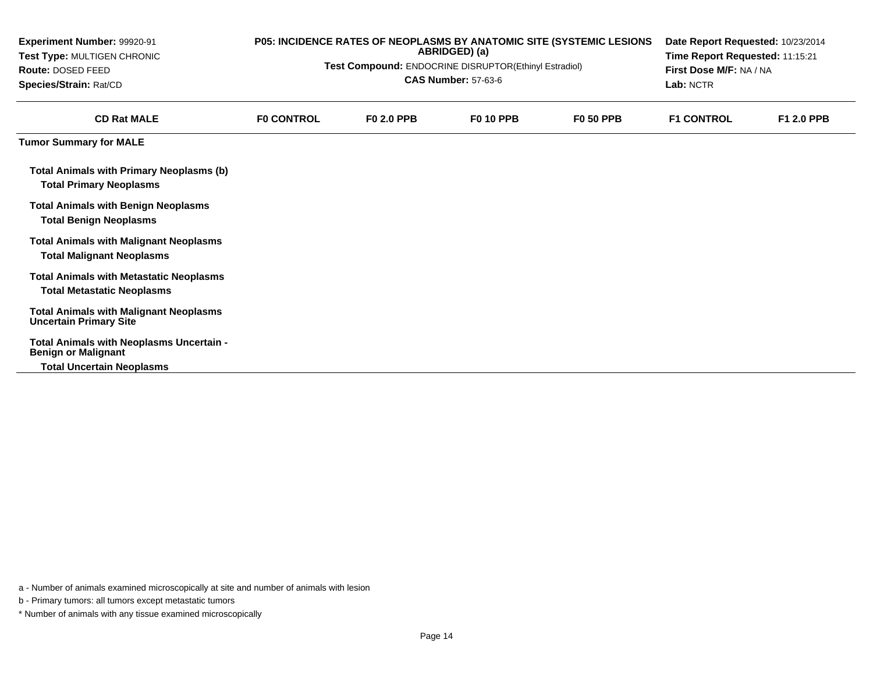| Experiment Number: 99920-91<br>Test Type: MULTIGEN CHRONIC<br>Route: DOSED FEED<br>Species/Strain: Rat/CD |                   | P05: INCIDENCE RATES OF NEOPLASMS BY ANATOMIC SITE (SYSTEMIC LESIONS<br>ABRIDGED) (a)<br>Test Compound: ENDOCRINE DISRUPTOR(Ethinyl Estradiol)<br><b>CAS Number: 57-63-6</b> | Date Report Requested: 10/23/2014<br>Time Report Requested: 11:15:21<br>First Dose M/F: NA / NA<br>Lab: NCTR |                  |                   |            |
|-----------------------------------------------------------------------------------------------------------|-------------------|------------------------------------------------------------------------------------------------------------------------------------------------------------------------------|--------------------------------------------------------------------------------------------------------------|------------------|-------------------|------------|
| <b>CD Rat MALE</b>                                                                                        | <b>FO CONTROL</b> | <b>F0 2.0 PPB</b>                                                                                                                                                            | <b>F0 10 PPB</b>                                                                                             | <b>F0 50 PPB</b> | <b>F1 CONTROL</b> | F1 2.0 PPB |
| <b>Tumor Summary for MALE</b>                                                                             |                   |                                                                                                                                                                              |                                                                                                              |                  |                   |            |
| <b>Total Animals with Primary Neoplasms (b)</b><br><b>Total Primary Neoplasms</b>                         |                   |                                                                                                                                                                              |                                                                                                              |                  |                   |            |
| <b>Total Animals with Benign Neoplasms</b><br><b>Total Benign Neoplasms</b>                               |                   |                                                                                                                                                                              |                                                                                                              |                  |                   |            |
| <b>Total Animals with Malignant Neoplasms</b><br><b>Total Malignant Neoplasms</b>                         |                   |                                                                                                                                                                              |                                                                                                              |                  |                   |            |
| <b>Total Animals with Metastatic Neoplasms</b><br><b>Total Metastatic Neoplasms</b>                       |                   |                                                                                                                                                                              |                                                                                                              |                  |                   |            |
| <b>Total Animals with Malignant Neoplasms</b><br><b>Uncertain Primary Site</b>                            |                   |                                                                                                                                                                              |                                                                                                              |                  |                   |            |
| Total Animals with Neoplasms Uncertain -<br><b>Benign or Malignant</b>                                    |                   |                                                                                                                                                                              |                                                                                                              |                  |                   |            |
| <b>Total Uncertain Neoplasms</b>                                                                          |                   |                                                                                                                                                                              |                                                                                                              |                  |                   |            |

b - Primary tumors: all tumors except metastatic tumors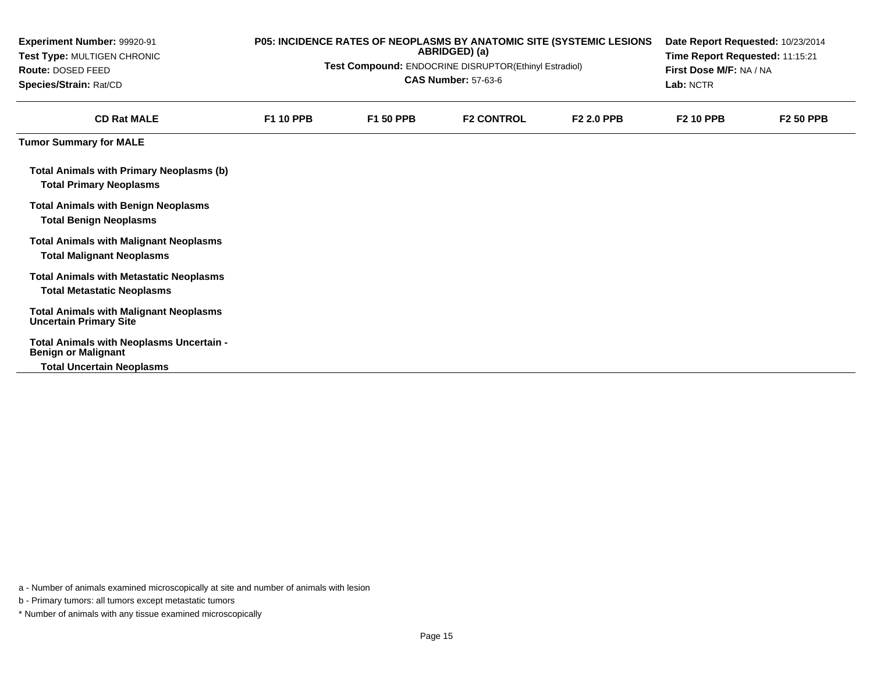| <b>Experiment Number: 99920-91</b><br>Test Type: MULTIGEN CHRONIC<br>Route: DOSED FEED<br>Species/Strain: Rat/CD | P05: INCIDENCE RATES OF NEOPLASMS BY ANATOMIC SITE (SYSTEMIC LESIONS<br>ABRIDGED) (a)<br>Test Compound: ENDOCRINE DISRUPTOR(Ethinyl Estradiol)<br><b>CAS Number: 57-63-6</b> |                  |                   |                   |                  | Date Report Requested: 10/23/2014<br>Time Report Requested: 11:15:21<br>First Dose M/F: NA / NA<br>Lab: NCTR |  |  |
|------------------------------------------------------------------------------------------------------------------|------------------------------------------------------------------------------------------------------------------------------------------------------------------------------|------------------|-------------------|-------------------|------------------|--------------------------------------------------------------------------------------------------------------|--|--|
| <b>CD Rat MALE</b>                                                                                               | <b>F1 10 PPB</b>                                                                                                                                                             | <b>F1 50 PPB</b> | <b>F2 CONTROL</b> | <b>F2 2.0 PPB</b> | <b>F2 10 PPB</b> | <b>F2 50 PPB</b>                                                                                             |  |  |
| <b>Tumor Summary for MALE</b>                                                                                    |                                                                                                                                                                              |                  |                   |                   |                  |                                                                                                              |  |  |
| <b>Total Animals with Primary Neoplasms (b)</b><br><b>Total Primary Neoplasms</b>                                |                                                                                                                                                                              |                  |                   |                   |                  |                                                                                                              |  |  |
| <b>Total Animals with Benign Neoplasms</b><br><b>Total Benign Neoplasms</b>                                      |                                                                                                                                                                              |                  |                   |                   |                  |                                                                                                              |  |  |
| <b>Total Animals with Malignant Neoplasms</b><br><b>Total Malignant Neoplasms</b>                                |                                                                                                                                                                              |                  |                   |                   |                  |                                                                                                              |  |  |
| <b>Total Animals with Metastatic Neoplasms</b><br><b>Total Metastatic Neoplasms</b>                              |                                                                                                                                                                              |                  |                   |                   |                  |                                                                                                              |  |  |
| <b>Total Animals with Malignant Neoplasms</b><br><b>Uncertain Primary Site</b>                                   |                                                                                                                                                                              |                  |                   |                   |                  |                                                                                                              |  |  |
| Total Animals with Neoplasms Uncertain -<br><b>Benign or Malignant</b>                                           |                                                                                                                                                                              |                  |                   |                   |                  |                                                                                                              |  |  |
| <b>Total Uncertain Neoplasms</b>                                                                                 |                                                                                                                                                                              |                  |                   |                   |                  |                                                                                                              |  |  |

b - Primary tumors: all tumors except metastatic tumors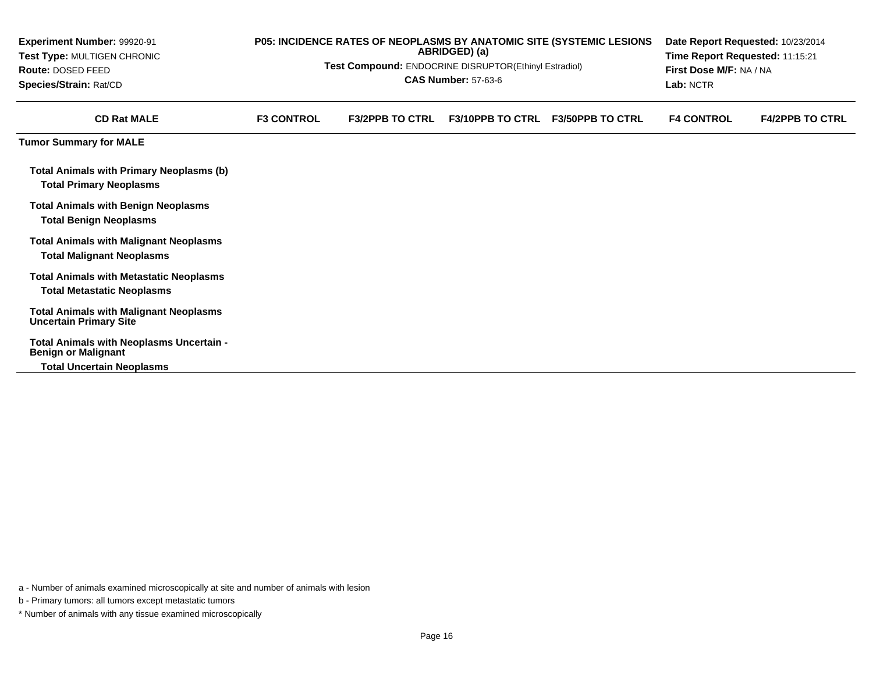| Experiment Number: 99920-91<br>Test Type: MULTIGEN CHRONIC<br>Route: DOSED FEED<br>Species/Strain: Rat/CD | P05: INCIDENCE RATES OF NEOPLASMS BY ANATOMIC SITE (SYSTEMIC LESIONS<br>ABRIDGED) (a)<br>Test Compound: ENDOCRINE DISRUPTOR(Ethinyl Estradiol)<br><b>CAS Number: 57-63-6</b> |                        |                         |                         |                   | Date Report Requested: 10/23/2014<br>Time Report Requested: 11:15:21<br>First Dose M/F: NA / NA<br>Lab: NCTR |  |  |
|-----------------------------------------------------------------------------------------------------------|------------------------------------------------------------------------------------------------------------------------------------------------------------------------------|------------------------|-------------------------|-------------------------|-------------------|--------------------------------------------------------------------------------------------------------------|--|--|
| <b>CD Rat MALE</b>                                                                                        | <b>F3 CONTROL</b>                                                                                                                                                            | <b>F3/2PPB TO CTRL</b> | <b>F3/10PPB TO CTRL</b> | <b>F3/50PPB TO CTRL</b> | <b>F4 CONTROL</b> | <b>F4/2PPB TO CTRL</b>                                                                                       |  |  |
| <b>Tumor Summary for MALE</b>                                                                             |                                                                                                                                                                              |                        |                         |                         |                   |                                                                                                              |  |  |
| <b>Total Animals with Primary Neoplasms (b)</b><br><b>Total Primary Neoplasms</b>                         |                                                                                                                                                                              |                        |                         |                         |                   |                                                                                                              |  |  |
| <b>Total Animals with Benign Neoplasms</b><br><b>Total Benign Neoplasms</b>                               |                                                                                                                                                                              |                        |                         |                         |                   |                                                                                                              |  |  |
| <b>Total Animals with Malignant Neoplasms</b><br><b>Total Malignant Neoplasms</b>                         |                                                                                                                                                                              |                        |                         |                         |                   |                                                                                                              |  |  |
| <b>Total Animals with Metastatic Neoplasms</b><br><b>Total Metastatic Neoplasms</b>                       |                                                                                                                                                                              |                        |                         |                         |                   |                                                                                                              |  |  |
| <b>Total Animals with Malignant Neoplasms</b><br><b>Uncertain Primary Site</b>                            |                                                                                                                                                                              |                        |                         |                         |                   |                                                                                                              |  |  |
| Total Animals with Neoplasms Uncertain -<br><b>Benign or Malignant</b>                                    |                                                                                                                                                                              |                        |                         |                         |                   |                                                                                                              |  |  |
| <b>Total Uncertain Neoplasms</b>                                                                          |                                                                                                                                                                              |                        |                         |                         |                   |                                                                                                              |  |  |

b - Primary tumors: all tumors except metastatic tumors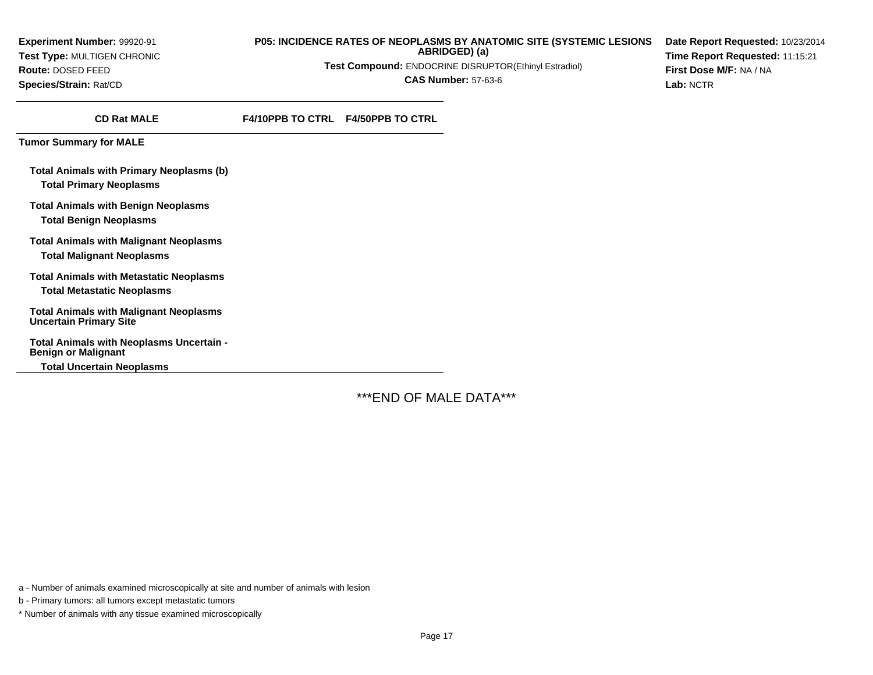**Experiment Number:** 99920-91**Test Type:** MULTIGEN CHRONIC**Route:** DOSED FEED**Species/Strain:** Rat/CD

#### **P05: INCIDENCE RATES OF NEOPLASMS BY ANATOMIC SITE (SYSTEMIC LESIONSABRIDGED) (a)**

**Test Compound:** ENDOCRINE DISRUPTOR(Ethinyl Estradiol)

**CAS Number:** 57-63-6

**Date Report Requested:** 10/23/2014**Time Report Requested:** 11:15:21**First Dose M/F:** NA / NA**Lab:** NCTR

**CD Rat MALE**

**F4/10PPB TO CTRL F4/50PPB TO CTRL**

**Tumor Summary for MALE**

**Total Animals with Primary Neoplasms (b)Total Primary Neoplasms**

**Total Animals with Benign NeoplasmsTotal Benign Neoplasms**

**Total Animals with Malignant NeoplasmsTotal Malignant Neoplasms**

**Total Animals with Metastatic NeoplasmsTotal Metastatic Neoplasms**

**Total Animals with Malignant NeoplasmsUncertain Primary Site**

**Total Animals with Neoplasms Uncertain -Benign or Malignant**

**Total Uncertain Neoplasms**

\*\*\*END OF MALE DATA\*\*\*

a - Number of animals examined microscopically at site and number of animals with lesion

b - Primary tumors: all tumors except metastatic tumors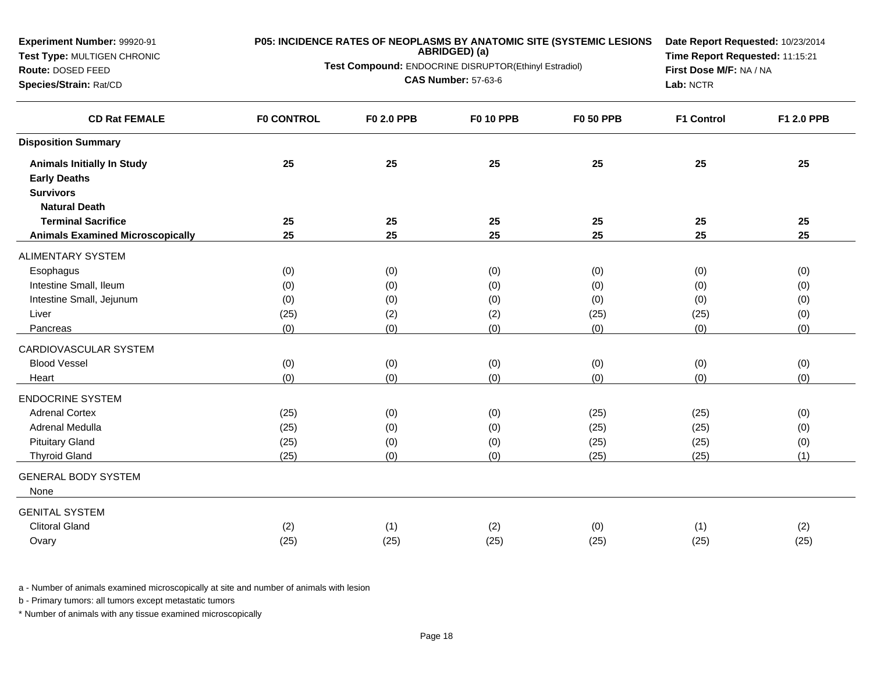| Experiment Number: 99920-91             | P05: INCIDENCE RATES OF NEOPLASMS BY ANATOMIC SITE (SYSTEMIC LESIONS |                                                                        | Date Report Requested: 10/23/2014 |                  |                         |            |
|-----------------------------------------|----------------------------------------------------------------------|------------------------------------------------------------------------|-----------------------------------|------------------|-------------------------|------------|
| Test Type: MULTIGEN CHRONIC             |                                                                      | ABRIDGED) (a)<br>Test Compound: ENDOCRINE DISRUPTOR(Ethinyl Estradiol) | Time Report Requested: 11:15:21   |                  |                         |            |
| Route: DOSED FEED                       |                                                                      |                                                                        | <b>CAS Number: 57-63-6</b>        |                  | First Dose M/F: NA / NA |            |
| Species/Strain: Rat/CD                  |                                                                      |                                                                        |                                   |                  | Lab: NCTR               |            |
| <b>CD Rat FEMALE</b>                    | <b>F0 CONTROL</b>                                                    | <b>F0 2.0 PPB</b>                                                      | <b>F0 10 PPB</b>                  | <b>F0 50 PPB</b> | <b>F1 Control</b>       | F1 2.0 PPB |
| <b>Disposition Summary</b>              |                                                                      |                                                                        |                                   |                  |                         |            |
| <b>Animals Initially In Study</b>       | 25                                                                   | 25                                                                     | 25                                | 25               | 25                      | 25         |
| <b>Early Deaths</b>                     |                                                                      |                                                                        |                                   |                  |                         |            |
| <b>Survivors</b>                        |                                                                      |                                                                        |                                   |                  |                         |            |
| <b>Natural Death</b>                    |                                                                      |                                                                        |                                   |                  |                         |            |
| <b>Terminal Sacrifice</b>               | 25                                                                   | 25                                                                     | 25                                | 25               | 25                      | 25         |
| <b>Animals Examined Microscopically</b> | 25                                                                   | 25                                                                     | 25                                | 25               | 25                      | 25         |
| ALIMENTARY SYSTEM                       |                                                                      |                                                                        |                                   |                  |                         |            |
| Esophagus                               | (0)                                                                  | (0)                                                                    | (0)                               | (0)              | (0)                     | (0)        |
| Intestine Small, Ileum                  | (0)                                                                  | (0)                                                                    | (0)                               | (0)              | (0)                     | (0)        |
| Intestine Small, Jejunum                | (0)                                                                  | (0)                                                                    | (0)                               | (0)              | (0)                     | (0)        |
| Liver                                   | (25)                                                                 | (2)                                                                    | (2)                               | (25)             | (25)                    | (0)        |
| Pancreas                                | (0)                                                                  | (0)                                                                    | (0)                               | (0)              | (0)                     | (0)        |
| CARDIOVASCULAR SYSTEM                   |                                                                      |                                                                        |                                   |                  |                         |            |
| <b>Blood Vessel</b>                     | (0)                                                                  | (0)                                                                    | (0)                               | (0)              | (0)                     | (0)        |
| Heart                                   | (0)                                                                  | (0)                                                                    | (0)                               | (0)              | (0)                     | (0)        |
| <b>ENDOCRINE SYSTEM</b>                 |                                                                      |                                                                        |                                   |                  |                         |            |
| <b>Adrenal Cortex</b>                   | (25)                                                                 | (0)                                                                    | (0)                               | (25)             | (25)                    | (0)        |
| Adrenal Medulla                         | (25)                                                                 | (0)                                                                    | (0)                               | (25)             | (25)                    | (0)        |
| <b>Pituitary Gland</b>                  | (25)                                                                 | (0)                                                                    | (0)                               | (25)             | (25)                    | (0)        |
| <b>Thyroid Gland</b>                    | (25)                                                                 | (0)                                                                    | (0)                               | (25)             | (25)                    | (1)        |
| <b>GENERAL BODY SYSTEM</b><br>None      |                                                                      |                                                                        |                                   |                  |                         |            |
| <b>GENITAL SYSTEM</b>                   |                                                                      |                                                                        |                                   |                  |                         |            |
| <b>Clitoral Gland</b>                   | (2)                                                                  | (1)                                                                    | (2)                               | (0)              | (1)                     | (2)        |
| Ovary                                   | (25)                                                                 | (25)                                                                   | (25)                              | (25)             | (25)                    | (25)       |
|                                         |                                                                      |                                                                        |                                   |                  |                         |            |

b - Primary tumors: all tumors except metastatic tumors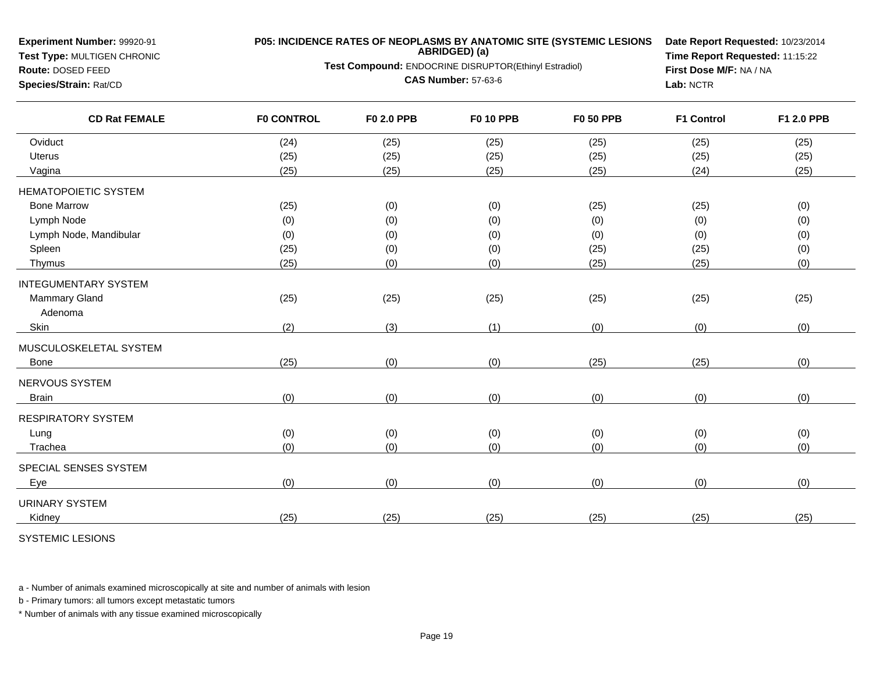**Test Type:** MULTIGEN CHRONIC

**Route:** DOSED FEED**Species/Strain:** Rat/CD

## **P05: INCIDENCE RATES OF NEOPLASMS BY ANATOMIC SITE (SYSTEMIC LESIONSABRIDGED) (a)**

**Test Compound:** ENDOCRINE DISRUPTOR(Ethinyl Estradiol)

**CAS Number:** 57-63-6

**Date Report Requested:** 10/23/2014**Time Report Requested:** 11:15:22**First Dose M/F:** NA / NA**Lab:** NCTR

| <b>CD Rat FEMALE</b>        | <b>F0 CONTROL</b> | F0 2.0 PPB | <b>F0 10 PPB</b> | <b>F0 50 PPB</b> | <b>F1 Control</b> | F1 2.0 PPB |
|-----------------------------|-------------------|------------|------------------|------------------|-------------------|------------|
| Oviduct                     | (24)              | (25)       | (25)             | (25)             | (25)              | (25)       |
| <b>Uterus</b>               | (25)              | (25)       | (25)             | (25)             | (25)              | (25)       |
| Vagina                      | (25)              | (25)       | (25)             | (25)             | (24)              | (25)       |
| <b>HEMATOPOIETIC SYSTEM</b> |                   |            |                  |                  |                   |            |
| <b>Bone Marrow</b>          | (25)              | (0)        | (0)              | (25)             | (25)              | (0)        |
| Lymph Node                  | (0)               | (0)        | (0)              | (0)              | (0)               | (0)        |
| Lymph Node, Mandibular      | (0)               | (0)        | (0)              | (0)              | (0)               | (0)        |
| Spleen                      | (25)              | (0)        | (0)              | (25)             | (25)              | (0)        |
| Thymus                      | (25)              | (0)        | (0)              | (25)             | (25)              | (0)        |
| <b>INTEGUMENTARY SYSTEM</b> |                   |            |                  |                  |                   |            |
| Mammary Gland               | (25)              | (25)       | (25)             | (25)             | (25)              | (25)       |
| Adenoma                     |                   |            |                  |                  |                   |            |
| Skin                        | (2)               | (3)        | (1)              | (0)              | (0)               | (0)        |
| MUSCULOSKELETAL SYSTEM      |                   |            |                  |                  |                   |            |
| Bone                        | (25)              | (0)        | (0)              | (25)             | (25)              | (0)        |
| NERVOUS SYSTEM              |                   |            |                  |                  |                   |            |
| <b>Brain</b>                | (0)               | (0)        | (0)              | (0)              | (0)               | (0)        |
| <b>RESPIRATORY SYSTEM</b>   |                   |            |                  |                  |                   |            |
| Lung                        | (0)               | (0)        | (0)              | (0)              | (0)               | (0)        |
| Trachea                     | (0)               | (0)        | (0)              | (0)              | (0)               | (0)        |
| SPECIAL SENSES SYSTEM       |                   |            |                  |                  |                   |            |
| Eye                         | (0)               | (0)        | (0)              | (0)              | (0)               | (0)        |
| <b>URINARY SYSTEM</b>       |                   |            |                  |                  |                   |            |
| Kidney                      | (25)              | (25)       | (25)             | (25)             | (25)              | (25)       |
|                             |                   |            |                  |                  |                   |            |

SYSTEMIC LESIONS

a - Number of animals examined microscopically at site and number of animals with lesion

b - Primary tumors: all tumors except metastatic tumors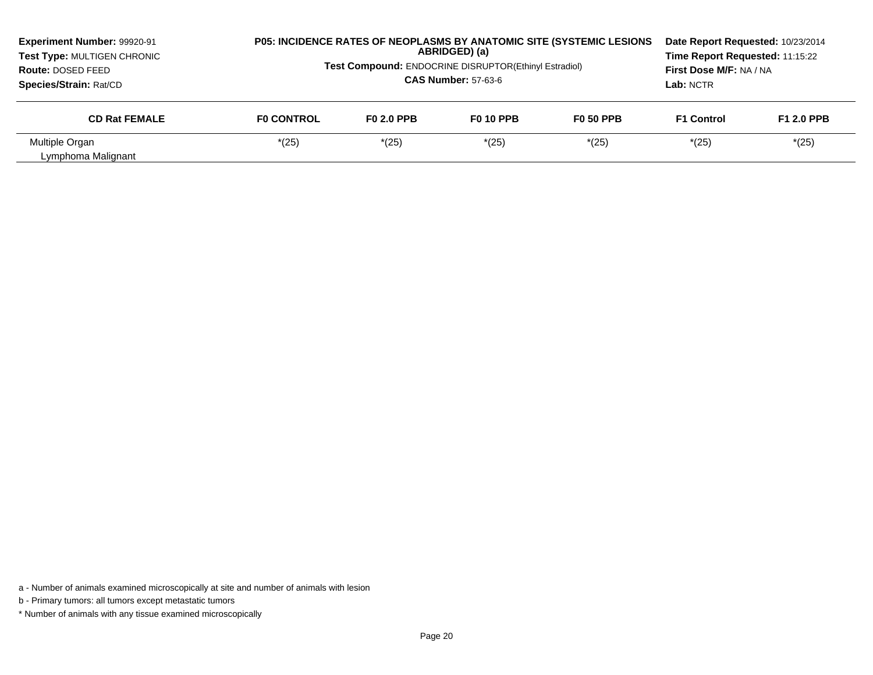| Experiment Number: 99920-91<br>Test Type: MULTIGEN CHRONIC<br><b>Route: DOSED FEED</b><br>Species/Strain: Rat/CD |                   | <b>P05: INCIDENCE RATES OF NEOPLASMS BY ANATOMIC SITE (SYSTEMIC LESIONS)</b><br>ABRIDGED) (a)<br><b>Test Compound: ENDOCRINE DISRUPTOR(Ethinyl Estradiol)</b><br><b>CAS Number: 57-63-6</b> |                  |                  |                   | Date Report Requested: 10/23/2014<br>Time Report Requested: 11:15:22<br>First Dose M/F: NA / NA |
|------------------------------------------------------------------------------------------------------------------|-------------------|---------------------------------------------------------------------------------------------------------------------------------------------------------------------------------------------|------------------|------------------|-------------------|-------------------------------------------------------------------------------------------------|
| <b>CD Rat FEMALE</b>                                                                                             | <b>FO CONTROL</b> | F <sub>0</sub> 2.0 PPB                                                                                                                                                                      | <b>F0 10 PPB</b> | <b>F0 50 PPB</b> | <b>F1 Control</b> | <b>F1 2.0 PPB</b>                                                                               |
| Multiple Organ<br>Lymphoma Malignant                                                                             | *(25)             | $*(25)$                                                                                                                                                                                     | $*(25)$          | $*(25)$          | $*(25)$           | $*(25)$                                                                                         |

a - Number of animals examined microscopically at site and number of animals with lesion

b - Primary tumors: all tumors except metastatic tumors

\* Number of animals with any tissue examined microscopically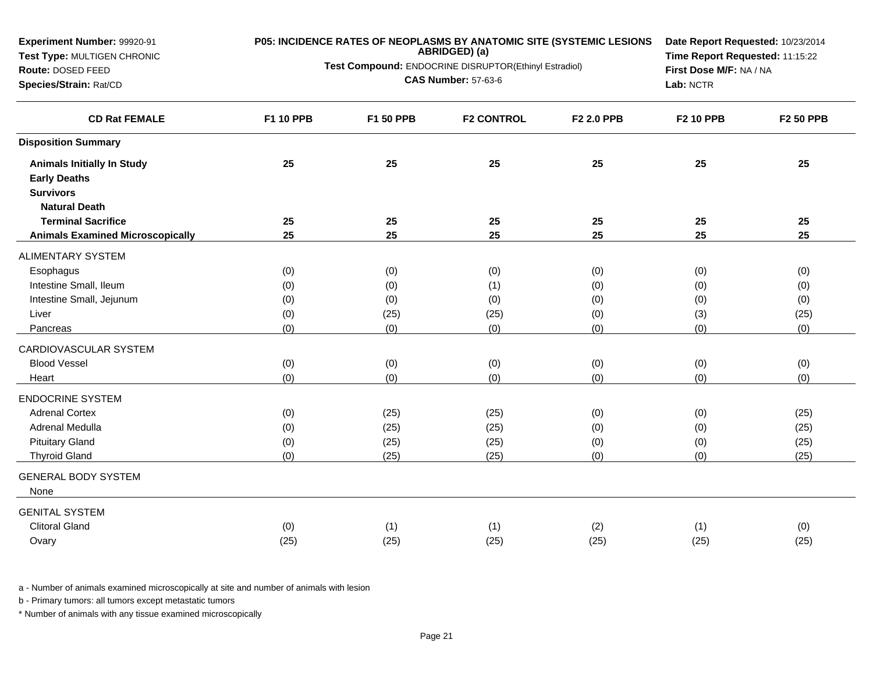| Experiment Number: 99920-91             |           | P05: INCIDENCE RATES OF NEOPLASMS BY ANATOMIC SITE (SYSTEMIC LESIONS | Date Report Requested: 10/23/2014                     |            |                         |                  |
|-----------------------------------------|-----------|----------------------------------------------------------------------|-------------------------------------------------------|------------|-------------------------|------------------|
| Test Type: MULTIGEN CHRONIC             |           | ABRIDGED) (a)                                                        | Time Report Requested: 11:15:22                       |            |                         |                  |
| Route: DOSED FEED                       |           |                                                                      | Test Compound: ENDOCRINE DISRUPTOR(Ethinyl Estradiol) |            | First Dose M/F: NA / NA |                  |
| Species/Strain: Rat/CD                  |           |                                                                      | <b>CAS Number: 57-63-6</b>                            |            | Lab: NCTR               |                  |
| <b>CD Rat FEMALE</b>                    | F1 10 PPB | F1 50 PPB                                                            | <b>F2 CONTROL</b>                                     | F2 2.0 PPB | <b>F2 10 PPB</b>        | <b>F2 50 PPB</b> |
| <b>Disposition Summary</b>              |           |                                                                      |                                                       |            |                         |                  |
| <b>Animals Initially In Study</b>       | 25        | 25                                                                   | 25                                                    | 25         | 25                      | 25               |
| <b>Early Deaths</b>                     |           |                                                                      |                                                       |            |                         |                  |
| <b>Survivors</b>                        |           |                                                                      |                                                       |            |                         |                  |
| <b>Natural Death</b>                    |           |                                                                      |                                                       |            |                         |                  |
| <b>Terminal Sacrifice</b>               | 25        | 25                                                                   | 25                                                    | 25         | 25                      | 25               |
| <b>Animals Examined Microscopically</b> | 25        | 25                                                                   | 25                                                    | 25         | 25                      | 25               |
| <b>ALIMENTARY SYSTEM</b>                |           |                                                                      |                                                       |            |                         |                  |
| Esophagus                               | (0)       | (0)                                                                  | (0)                                                   | (0)        | (0)                     | (0)              |
| Intestine Small, Ileum                  | (0)       | (0)                                                                  | (1)                                                   | (0)        | (0)                     | (0)              |
| Intestine Small, Jejunum                | (0)       | (0)                                                                  | (0)                                                   | (0)        | (0)                     | (0)              |
| Liver                                   | (0)       | (25)                                                                 | (25)                                                  | (0)        | (3)                     | (25)             |
| Pancreas                                | (0)       | (0)                                                                  | (0)                                                   | (0)        | (0)                     | (0)              |
| CARDIOVASCULAR SYSTEM                   |           |                                                                      |                                                       |            |                         |                  |
| <b>Blood Vessel</b>                     | (0)       | (0)                                                                  | (0)                                                   | (0)        | (0)                     | (0)              |
| Heart                                   | (0)       | (0)                                                                  | (0)                                                   | (0)        | (0)                     | (0)              |
| <b>ENDOCRINE SYSTEM</b>                 |           |                                                                      |                                                       |            |                         |                  |
| <b>Adrenal Cortex</b>                   | (0)       | (25)                                                                 | (25)                                                  | (0)        | (0)                     | (25)             |
| Adrenal Medulla                         | (0)       | (25)                                                                 | (25)                                                  | (0)        | (0)                     | (25)             |
| <b>Pituitary Gland</b>                  | (0)       | (25)                                                                 | (25)                                                  | (0)        | (0)                     | (25)             |
| <b>Thyroid Gland</b>                    | (0)       | (25)                                                                 | (25)                                                  | (0)        | (0)                     | (25)             |
| <b>GENERAL BODY SYSTEM</b><br>None      |           |                                                                      |                                                       |            |                         |                  |
| <b>GENITAL SYSTEM</b>                   |           |                                                                      |                                                       |            |                         |                  |
| <b>Clitoral Gland</b>                   | (0)       | (1)                                                                  | (1)                                                   | (2)        | (1)                     | (0)              |
| Ovary                                   | (25)      | (25)                                                                 | (25)                                                  | (25)       | (25)                    | (25)             |
|                                         |           |                                                                      |                                                       |            |                         |                  |

b - Primary tumors: all tumors except metastatic tumors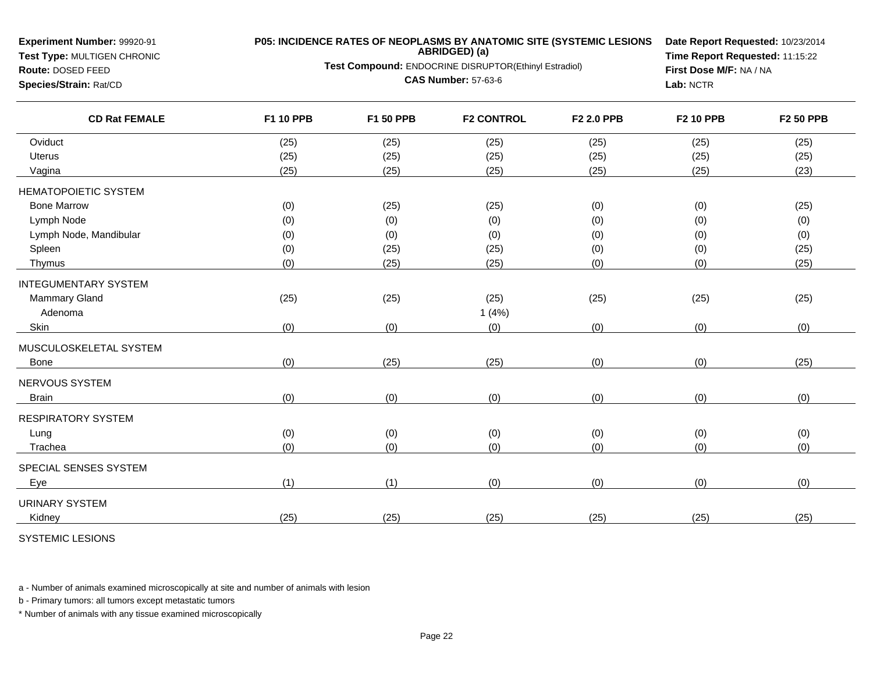| <b>Experiment Number: 99920-91</b><br>Test Type: MULTIGEN CHRONIC<br>Route: DOSED FEED<br>Species/Strain: Rat/CD |           | <b>P05: INCIDENCE RATES OF NEOPLASMS BY ANATOMIC SITE (SYSTEMIC LESIONS</b><br>ABRIDGED) (a)<br>Test Compound: ENDOCRINE DISRUPTOR(Ethinyl Estradiol)<br><b>CAS Number: 57-63-6</b> |                   |            |                  |                  |
|------------------------------------------------------------------------------------------------------------------|-----------|-------------------------------------------------------------------------------------------------------------------------------------------------------------------------------------|-------------------|------------|------------------|------------------|
| <b>CD Rat FEMALE</b>                                                                                             | F1 10 PPB | F1 50 PPB                                                                                                                                                                           | <b>F2 CONTROL</b> | F2 2.0 PPB | <b>F2 10 PPB</b> | <b>F2 50 PPB</b> |
| Oviduct                                                                                                          | (25)      | (25)                                                                                                                                                                                | (25)              | (25)       | (25)             | (25)             |
| Uterus                                                                                                           | (25)      | (25)                                                                                                                                                                                | (25)              | (25)       | (25)             | (25)             |
| Vagina                                                                                                           | (25)      | (25)                                                                                                                                                                                | (25)              | (25)       | (25)             | (23)             |
| <b>HEMATOPOIETIC SYSTEM</b>                                                                                      |           |                                                                                                                                                                                     |                   |            |                  |                  |
| <b>Bone Marrow</b>                                                                                               | (0)       | (25)                                                                                                                                                                                | (25)              | (0)        | (0)              | (25)             |
| Lymph Node                                                                                                       | (0)       | (0)                                                                                                                                                                                 | (0)               | (0)        | (0)              | (0)              |
| Lymph Node, Mandibular                                                                                           | (0)       | (0)                                                                                                                                                                                 | (0)               | (0)        | (0)              | (0)              |
| Spleen                                                                                                           | (0)       | (25)                                                                                                                                                                                | (25)              | (0)        | (0)              | (25)             |
| Thymus                                                                                                           | (0)       | (25)                                                                                                                                                                                | (25)              | (0)        | (0)              | (25)             |
| <b>INTEGUMENTARY SYSTEM</b>                                                                                      |           |                                                                                                                                                                                     |                   |            |                  |                  |
| Mammary Gland                                                                                                    | (25)      | (25)                                                                                                                                                                                | (25)              | (25)       | (25)             | (25)             |
| Adenoma                                                                                                          |           |                                                                                                                                                                                     | 1(4%)             |            |                  |                  |
| Skin                                                                                                             | (0)       | (0)                                                                                                                                                                                 | (0)               | (0)        | (0)              | (0)              |
| MUSCULOSKELETAL SYSTEM                                                                                           |           |                                                                                                                                                                                     |                   |            |                  |                  |
| Bone                                                                                                             | (0)       | (25)                                                                                                                                                                                | (25)              | (0)        | (0)              | (25)             |
| NERVOUS SYSTEM                                                                                                   |           |                                                                                                                                                                                     |                   |            |                  |                  |
| <b>Brain</b>                                                                                                     | (0)       | (0)                                                                                                                                                                                 | (0)               | (0)        | (0)              | (0)              |
| <b>RESPIRATORY SYSTEM</b>                                                                                        |           |                                                                                                                                                                                     |                   |            |                  |                  |
| Lung                                                                                                             | (0)       | (0)                                                                                                                                                                                 | (0)               | (0)        | (0)              | (0)              |
| Trachea                                                                                                          | (0)       | (0)                                                                                                                                                                                 | (0)               | (0)        | (0)              | (0)              |
| SPECIAL SENSES SYSTEM                                                                                            |           |                                                                                                                                                                                     |                   |            |                  |                  |
| Eye                                                                                                              | (1)       | (1)                                                                                                                                                                                 | (0)               | (0)        | (0)              | (0)              |
| <b>URINARY SYSTEM</b>                                                                                            |           |                                                                                                                                                                                     |                   |            |                  |                  |
| Kidney                                                                                                           | (25)      | (25)                                                                                                                                                                                | (25)              | (25)       | (25)             | (25)             |
|                                                                                                                  |           |                                                                                                                                                                                     |                   |            |                  |                  |

SYSTEMIC LESIONS

**Experiment Number:** 99920-91

a - Number of animals examined microscopically at site and number of animals with lesion

b - Primary tumors: all tumors except metastatic tumors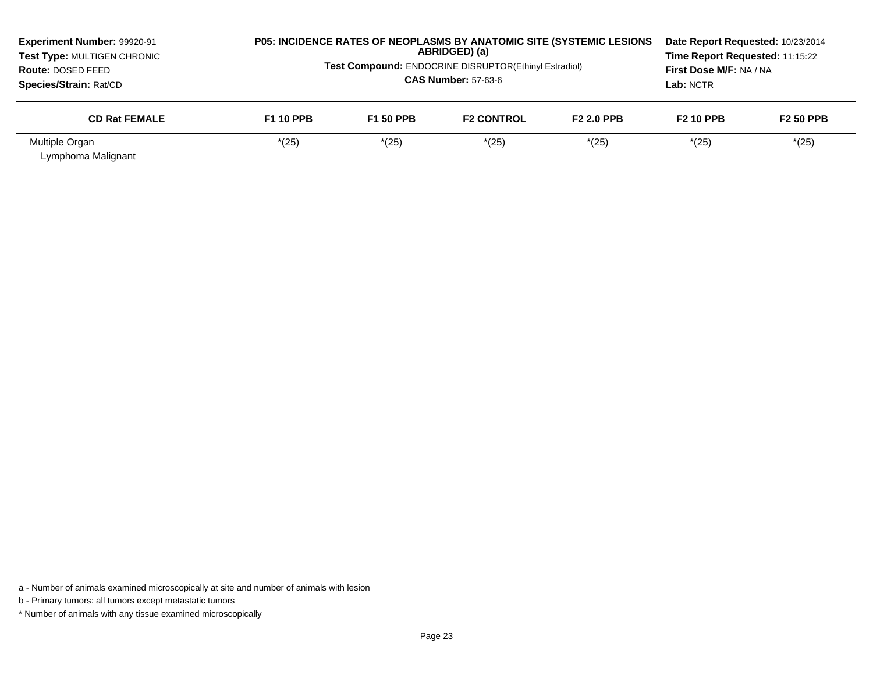| Experiment Number: 99920-91<br>Test Type: MULTIGEN CHRONIC<br><b>Route: DOSED FEED</b><br>Species/Strain: Rat/CD |                  | <b>P05: INCIDENCE RATES OF NEOPLASMS BY ANATOMIC SITE (SYSTEMIC LESIONS</b><br>ABRIDGED) (a)<br><b>Test Compound: ENDOCRINE DISRUPTOR(Ethinyl Estradiol)</b><br><b>CAS Number: 57-63-6</b> |                   |                   |                  | Date Report Requested: 10/23/2014<br>Time Report Requested: 11:15:22<br>First Dose M/F: NA / NA |
|------------------------------------------------------------------------------------------------------------------|------------------|--------------------------------------------------------------------------------------------------------------------------------------------------------------------------------------------|-------------------|-------------------|------------------|-------------------------------------------------------------------------------------------------|
| <b>CD Rat FEMALE</b>                                                                                             | <b>F1 10 PPB</b> | <b>F1 50 PPB</b>                                                                                                                                                                           | <b>F2 CONTROL</b> | <b>F2 2.0 PPB</b> | <b>F2 10 PPB</b> | <b>F2 50 PPB</b>                                                                                |
| Multiple Organ<br>Lymphoma Malignant                                                                             | $*(25)$          | $*(25)$                                                                                                                                                                                    | $*(25)$           | $*(25)$           | $*(25)$          | $*(25)$                                                                                         |

a - Number of animals examined microscopically at site and number of animals with lesion

b - Primary tumors: all tumors except metastatic tumors

\* Number of animals with any tissue examined microscopically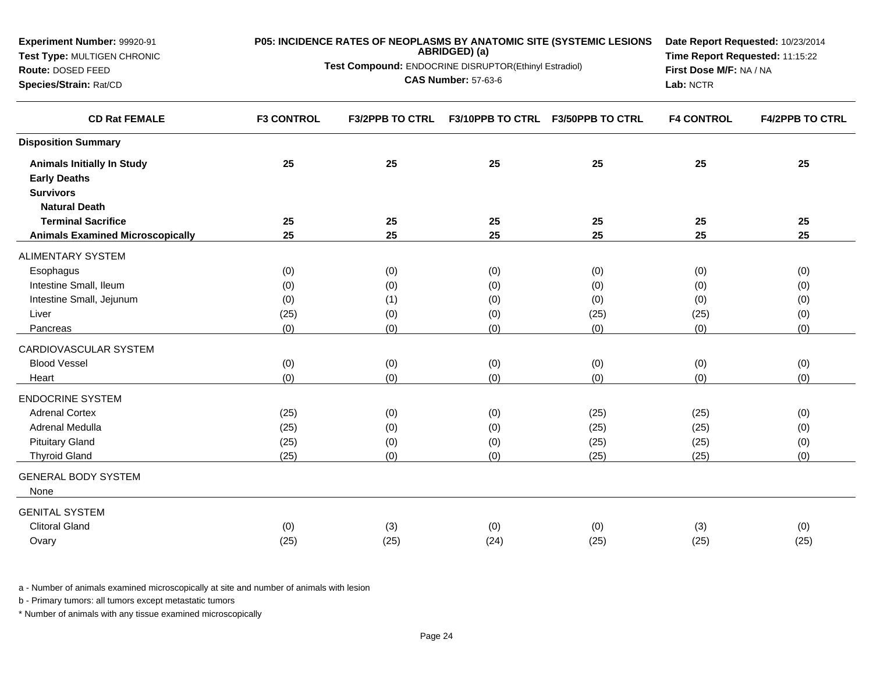| Experiment Number: 99920-91             | P05: INCIDENCE RATES OF NEOPLASMS BY ANATOMIC SITE (SYSTEMIC LESIONS<br>Date Report Requested: 10/23/2014<br>ABRIDGED) (a) |                                                                                          |                         |                                   |                   |                        |
|-----------------------------------------|----------------------------------------------------------------------------------------------------------------------------|------------------------------------------------------------------------------------------|-------------------------|-----------------------------------|-------------------|------------------------|
| Test Type: MULTIGEN CHRONIC             |                                                                                                                            | Time Report Requested: 11:15:22<br>Test Compound: ENDOCRINE DISRUPTOR(Ethinyl Estradiol) |                         |                                   |                   |                        |
| Route: DOSED FEED                       |                                                                                                                            | <b>CAS Number: 57-63-6</b>                                                               | First Dose M/F: NA / NA |                                   |                   |                        |
| Species/Strain: Rat/CD                  |                                                                                                                            |                                                                                          |                         |                                   | Lab: NCTR         |                        |
| <b>CD Rat FEMALE</b>                    | <b>F3 CONTROL</b>                                                                                                          | <b>F3/2PPB TO CTRL</b>                                                                   |                         | F3/10PPB TO CTRL F3/50PPB TO CTRL | <b>F4 CONTROL</b> | <b>F4/2PPB TO CTRL</b> |
| <b>Disposition Summary</b>              |                                                                                                                            |                                                                                          |                         |                                   |                   |                        |
| <b>Animals Initially In Study</b>       | 25                                                                                                                         | 25                                                                                       | 25                      | 25                                | 25                | 25                     |
| <b>Early Deaths</b>                     |                                                                                                                            |                                                                                          |                         |                                   |                   |                        |
| <b>Survivors</b>                        |                                                                                                                            |                                                                                          |                         |                                   |                   |                        |
| <b>Natural Death</b>                    |                                                                                                                            |                                                                                          |                         |                                   |                   |                        |
| <b>Terminal Sacrifice</b>               | 25                                                                                                                         | 25                                                                                       | 25                      | 25                                | 25                | 25                     |
| <b>Animals Examined Microscopically</b> | 25                                                                                                                         | 25                                                                                       | 25                      | 25                                | 25                | 25                     |
| <b>ALIMENTARY SYSTEM</b>                |                                                                                                                            |                                                                                          |                         |                                   |                   |                        |
| Esophagus                               | (0)                                                                                                                        | (0)                                                                                      | (0)                     | (0)                               | (0)               | (0)                    |
| Intestine Small, Ileum                  | (0)                                                                                                                        | (0)                                                                                      | (0)                     | (0)                               | (0)               | (0)                    |
| Intestine Small, Jejunum                | (0)                                                                                                                        | (1)                                                                                      | (0)                     | (0)                               | (0)               | (0)                    |
| Liver                                   | (25)                                                                                                                       | (0)                                                                                      | (0)                     | (25)                              | (25)              | (0)                    |
| Pancreas                                | (0)                                                                                                                        | (0)                                                                                      | (0)                     | (0)                               | (0)               | (0)                    |
| CARDIOVASCULAR SYSTEM                   |                                                                                                                            |                                                                                          |                         |                                   |                   |                        |
| <b>Blood Vessel</b>                     | (0)                                                                                                                        | (0)                                                                                      | (0)                     | (0)                               | (0)               | (0)                    |
| Heart                                   | (0)                                                                                                                        | (0)                                                                                      | (0)                     | (0)                               | (0)               | (0)                    |
| <b>ENDOCRINE SYSTEM</b>                 |                                                                                                                            |                                                                                          |                         |                                   |                   |                        |
| <b>Adrenal Cortex</b>                   | (25)                                                                                                                       | (0)                                                                                      | (0)                     | (25)                              | (25)              | (0)                    |
| Adrenal Medulla                         | (25)                                                                                                                       | (0)                                                                                      | (0)                     | (25)                              | (25)              | (0)                    |
| <b>Pituitary Gland</b>                  | (25)                                                                                                                       | (0)                                                                                      | (0)                     | (25)                              | (25)              | (0)                    |
| <b>Thyroid Gland</b>                    | (25)                                                                                                                       | (0)                                                                                      | (0)                     | (25)                              | (25)              | (0)                    |
| <b>GENERAL BODY SYSTEM</b><br>None      |                                                                                                                            |                                                                                          |                         |                                   |                   |                        |
| <b>GENITAL SYSTEM</b>                   |                                                                                                                            |                                                                                          |                         |                                   |                   |                        |
| <b>Clitoral Gland</b>                   | (0)                                                                                                                        | (3)                                                                                      | (0)                     | (0)                               | (3)               | (0)                    |
| Ovary                                   | (25)                                                                                                                       | (25)                                                                                     | (24)                    | (25)                              | (25)              | (25)                   |
|                                         |                                                                                                                            |                                                                                          |                         |                                   |                   |                        |

b - Primary tumors: all tumors except metastatic tumors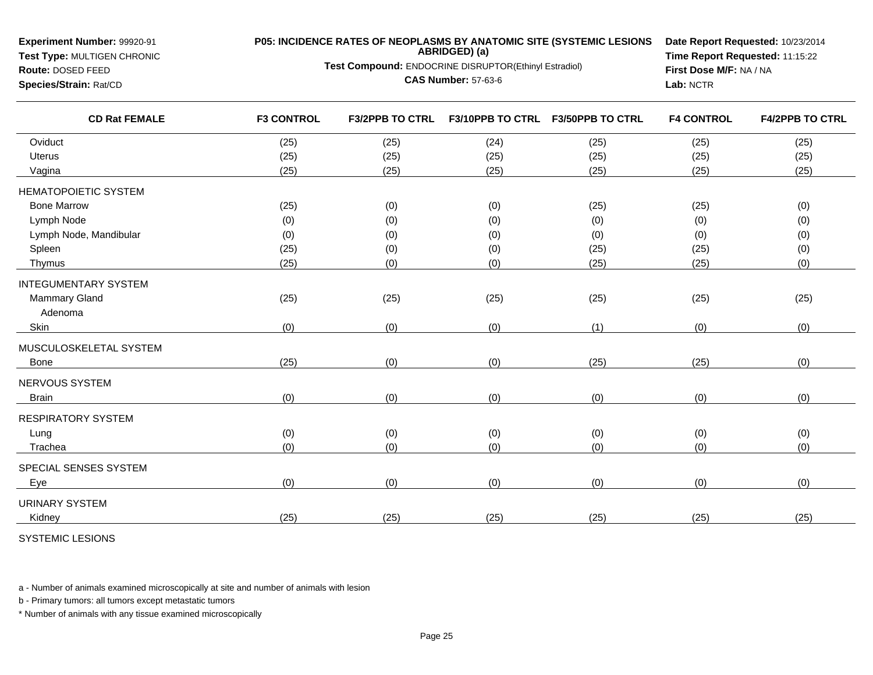| Experiment Number: 99920-91<br>Test Type: MULTIGEN CHRONIC<br>Route: DOSED FEED<br>Species/Strain: Rat/CD |                   | P05: INCIDENCE RATES OF NEOPLASMS BY ANATOMIC SITE (SYSTEMIC LESIONS<br>ABRIDGED) (a)<br>Test Compound: ENDOCRINE DISRUPTOR(Ethinyl Estradiol)<br><b>CAS Number: 57-63-6</b> | Date Report Requested: 10/23/2014<br>Time Report Requested: 11:15:22<br>First Dose M/F: NA / NA<br>Lab: NCTR |                         |                   |                        |
|-----------------------------------------------------------------------------------------------------------|-------------------|------------------------------------------------------------------------------------------------------------------------------------------------------------------------------|--------------------------------------------------------------------------------------------------------------|-------------------------|-------------------|------------------------|
| <b>CD Rat FEMALE</b>                                                                                      | <b>F3 CONTROL</b> | <b>F3/2PPB TO CTRL</b>                                                                                                                                                       | <b>F3/10PPB TO CTRL</b>                                                                                      | <b>F3/50PPB TO CTRL</b> | <b>F4 CONTROL</b> | <b>F4/2PPB TO CTRL</b> |
| Oviduct                                                                                                   | (25)              | (25)                                                                                                                                                                         | (24)                                                                                                         | (25)                    | (25)              | (25)                   |
| <b>Uterus</b>                                                                                             | (25)              | (25)                                                                                                                                                                         | (25)                                                                                                         | (25)                    | (25)              | (25)                   |
| Vagina                                                                                                    | (25)              | (25)                                                                                                                                                                         | (25)                                                                                                         | (25)                    | (25)              | (25)                   |
| <b>HEMATOPOIETIC SYSTEM</b>                                                                               |                   |                                                                                                                                                                              |                                                                                                              |                         |                   |                        |
| <b>Bone Marrow</b>                                                                                        | (25)              | (0)                                                                                                                                                                          | (0)                                                                                                          | (25)                    | (25)              | (0)                    |
| Lymph Node                                                                                                | (0)               | (0)                                                                                                                                                                          | (0)                                                                                                          | (0)                     | (0)               | (0)                    |
| Lymph Node, Mandibular                                                                                    | (0)               | (0)                                                                                                                                                                          | (0)                                                                                                          | (0)                     | (0)               | (0)                    |
| Spleen                                                                                                    | (25)              | (0)                                                                                                                                                                          | (0)                                                                                                          | (25)                    | (25)              | (0)                    |
| Thymus                                                                                                    | (25)              | (0)                                                                                                                                                                          | (0)                                                                                                          | (25)                    | (25)              | (0)                    |
| <b>INTEGUMENTARY SYSTEM</b>                                                                               |                   |                                                                                                                                                                              |                                                                                                              |                         |                   |                        |
| <b>Mammary Gland</b><br>Adenoma                                                                           | (25)              | (25)                                                                                                                                                                         | (25)                                                                                                         | (25)                    | (25)              | (25)                   |
| Skin                                                                                                      | (0)               | (0)                                                                                                                                                                          | (0)                                                                                                          | (1)                     | (0)               | (0)                    |
| MUSCULOSKELETAL SYSTEM                                                                                    |                   |                                                                                                                                                                              |                                                                                                              |                         |                   |                        |
| <b>Bone</b>                                                                                               | (25)              | (0)                                                                                                                                                                          | (0)                                                                                                          | (25)                    | (25)              | (0)                    |
| NERVOUS SYSTEM                                                                                            |                   |                                                                                                                                                                              |                                                                                                              |                         |                   |                        |
| <b>Brain</b>                                                                                              | (0)               | (0)                                                                                                                                                                          | (0)                                                                                                          | (0)                     | (0)               | (0)                    |
| <b>RESPIRATORY SYSTEM</b>                                                                                 |                   |                                                                                                                                                                              |                                                                                                              |                         |                   |                        |
| Lung                                                                                                      | (0)               | (0)                                                                                                                                                                          | (0)                                                                                                          | (0)                     | (0)               | (0)                    |
| Trachea                                                                                                   | (0)               | (0)                                                                                                                                                                          | (0)                                                                                                          | (0)                     | (0)               | (0)                    |
| SPECIAL SENSES SYSTEM                                                                                     |                   |                                                                                                                                                                              |                                                                                                              |                         |                   |                        |
| Eye                                                                                                       | (0)               | (0)                                                                                                                                                                          | (0)                                                                                                          | (0)                     | (0)               | (0)                    |
| <b>URINARY SYSTEM</b>                                                                                     |                   |                                                                                                                                                                              |                                                                                                              |                         |                   |                        |
| Kidnev                                                                                                    | (25)              | (25)                                                                                                                                                                         | (25)                                                                                                         | (25)                    | (25)              | (25)                   |
| SYSTEMIC LESIONS                                                                                          |                   |                                                                                                                                                                              |                                                                                                              |                         |                   |                        |

b - Primary tumors: all tumors except metastatic tumors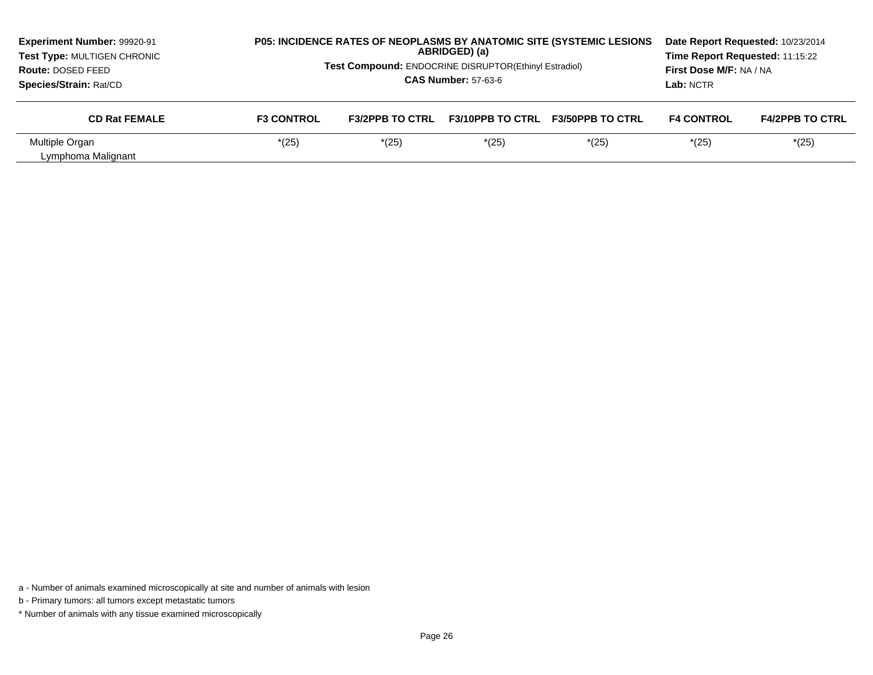| Experiment Number: 99920-91<br>Test Type: MULTIGEN CHRONIC<br>Route: DOSED FEED<br>Species/Strain: Rat/CD |                   | Test Compound: ENDOCRINE DISRUPTOR(Ethinyl Estradiol) | ABRIDGED) (a)<br><b>CAS Number: 57-63-6</b> | P05: INCIDENCE RATES OF NEOPLASMS BY ANATOMIC SITE (SYSTEMIC LESIONS | Date Report Requested: 10/23/2014<br>Time Report Requested: 11:15:22<br>First Dose M/F: NA / NA<br>Lab: NCTR |                        |  |
|-----------------------------------------------------------------------------------------------------------|-------------------|-------------------------------------------------------|---------------------------------------------|----------------------------------------------------------------------|--------------------------------------------------------------------------------------------------------------|------------------------|--|
| <b>CD Rat FEMALE</b>                                                                                      | <b>F3 CONTROL</b> | <b>F3/2PPB TO CTRL</b>                                | <b>F3/10PPB TO CTRL</b>                     | <b>F3/50PPB TO CTRL</b>                                              | <b>F4 CONTROL</b>                                                                                            | <b>F4/2PPB TO CTRL</b> |  |
| Multiple Organ<br>Lymphoma Malignant                                                                      | $*(25)$           | $*(25)$                                               | $*(25)$                                     | $*(25)$                                                              | $*(25)$                                                                                                      | $*(25)$                |  |

a - Number of animals examined microscopically at site and number of animals with lesion

b - Primary tumors: all tumors except metastatic tumors

\* Number of animals with any tissue examined microscopically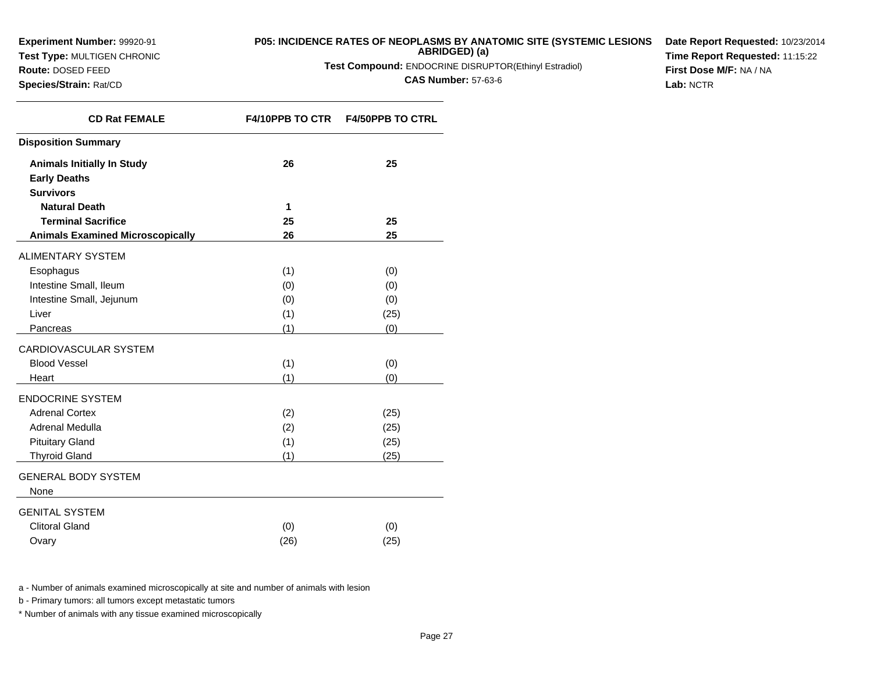**Test Type:** MULTIGEN CHRONIC

**Route:** DOSED FEED**Species/Strain:** Rat/CD

# **P05: INCIDENCE RATES OF NEOPLASMS BY ANATOMIC SITE (SYSTEMIC LESIONS**

**ABRIDGED) (a)**

**Test Compound:** ENDOCRINE DISRUPTOR(Ethinyl Estradiol)

**CAS Number:** 57-63-6

**Date Report Requested:** 10/23/2014**Time Report Requested:** 11:15:22**First Dose M/F:** NA / NA**Lab:** NCTR

| <b>CD Rat FEMALE</b>                    | <b>F4/10PPB TO CTR</b> | <b>F4/50PPB TO CTRL</b> |
|-----------------------------------------|------------------------|-------------------------|
| <b>Disposition Summary</b>              |                        |                         |
| <b>Animals Initially In Study</b>       | 26                     | 25                      |
| <b>Early Deaths</b>                     |                        |                         |
| <b>Survivors</b>                        |                        |                         |
| <b>Natural Death</b>                    | 1                      |                         |
| <b>Terminal Sacrifice</b>               | 25                     | 25                      |
| <b>Animals Examined Microscopically</b> | 26                     | 25                      |
| <b>ALIMENTARY SYSTEM</b>                |                        |                         |
| Esophagus                               | (1)                    | (0)                     |
| Intestine Small, Ileum                  | (0)                    | (0)                     |
| Intestine Small, Jejunum                | (0)                    | (0)                     |
| Liver                                   | (1)                    | (25)                    |
| Pancreas                                | (1)                    | (0)                     |
| CARDIOVASCULAR SYSTEM                   |                        |                         |
| <b>Blood Vessel</b>                     | (1)                    | (0)                     |
| Heart                                   | (1)                    | (0)                     |
| <b>ENDOCRINE SYSTEM</b>                 |                        |                         |
| <b>Adrenal Cortex</b>                   | (2)                    | (25)                    |
| Adrenal Medulla                         | (2)                    | (25)                    |
| <b>Pituitary Gland</b>                  | (1)                    | (25)                    |
| <b>Thyroid Gland</b>                    | (1)                    | (25)                    |
| <b>GENERAL BODY SYSTEM</b><br>None      |                        |                         |
|                                         |                        |                         |
| <b>GENITAL SYSTEM</b>                   |                        |                         |
| <b>Clitoral Gland</b>                   | (0)                    | (0)                     |
| Ovary                                   | (26)                   | (25)                    |

a - Number of animals examined microscopically at site and number of animals with lesion

b - Primary tumors: all tumors except metastatic tumors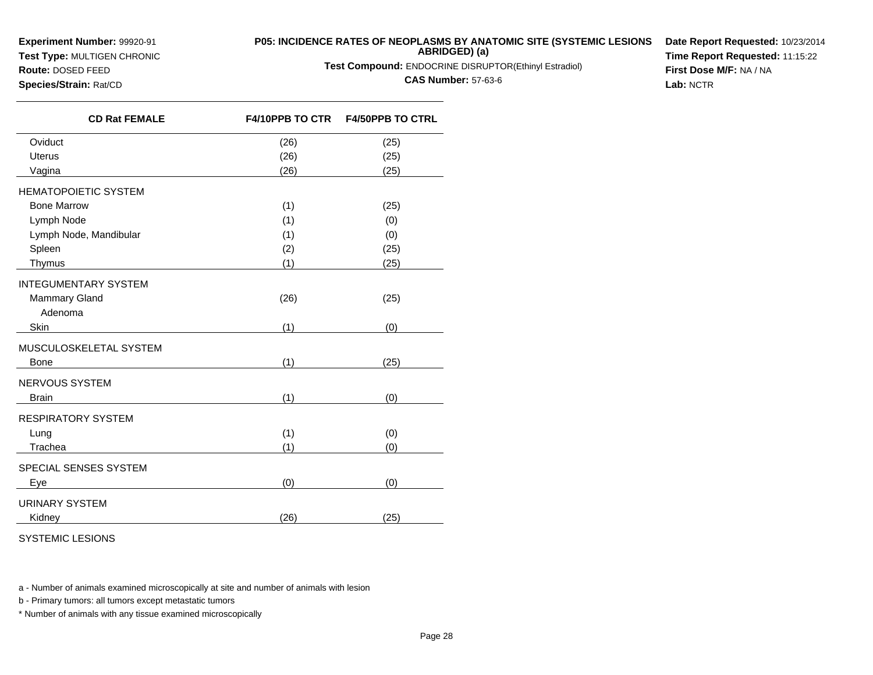**Experiment Number:** 99920-91**Test Type:** MULTIGEN CHRONIC

## **P05: INCIDENCE RATES OF NEOPLASMS BY ANATOMIC SITE (SYSTEMIC LESIONSABRIDGED) (a)**

**Test Compound:** ENDOCRINE DISRUPTOR(Ethinyl Estradiol)

**CAS Number:** 57-63-6

**Date Report Requested:** 10/23/2014**Time Report Requested:** 11:15:22**First Dose M/F:** NA / NA**Lab:** NCTR

**Route:** DOSED FEED**Species/Strain:** Rat/CD

| <b>CD Rat FEMALE</b>        |      | F4/10PPB TO CTR    F4/50PPB TO CTRL |
|-----------------------------|------|-------------------------------------|
| Oviduct                     | (26) | (25)                                |
| <b>Uterus</b>               | (26) | (25)                                |
| Vagina                      | (26) | (25)                                |
| <b>HEMATOPOIETIC SYSTEM</b> |      |                                     |
| <b>Bone Marrow</b>          | (1)  | (25)                                |
| Lymph Node                  | (1)  | (0)                                 |
| Lymph Node, Mandibular      | (1)  | (0)                                 |
| Spleen                      | (2)  | (25)                                |
| Thymus                      | (1)  | (25)                                |
| <b>INTEGUMENTARY SYSTEM</b> |      |                                     |
| Mammary Gland<br>Adenoma    | (26) | (25)                                |
| Skin                        | (1)  | (0)                                 |
| MUSCULOSKELETAL SYSTEM      |      |                                     |
| <b>Bone</b>                 | (1)  | (25)                                |
| NERVOUS SYSTEM              |      |                                     |
| <b>Brain</b>                | (1)  | (0)                                 |
| RESPIRATORY SYSTEM          |      |                                     |
| Lung                        | (1)  | (0)                                 |
| Trachea                     | (1)  | (0)                                 |
| SPECIAL SENSES SYSTEM       |      |                                     |
| Eye                         | (0)  | (0)                                 |
| URINARY SYSTEM              |      |                                     |
| Kidney                      | (26) | (25)                                |

SYSTEMIC LESIONS

a - Number of animals examined microscopically at site and number of animals with lesion

b - Primary tumors: all tumors except metastatic tumors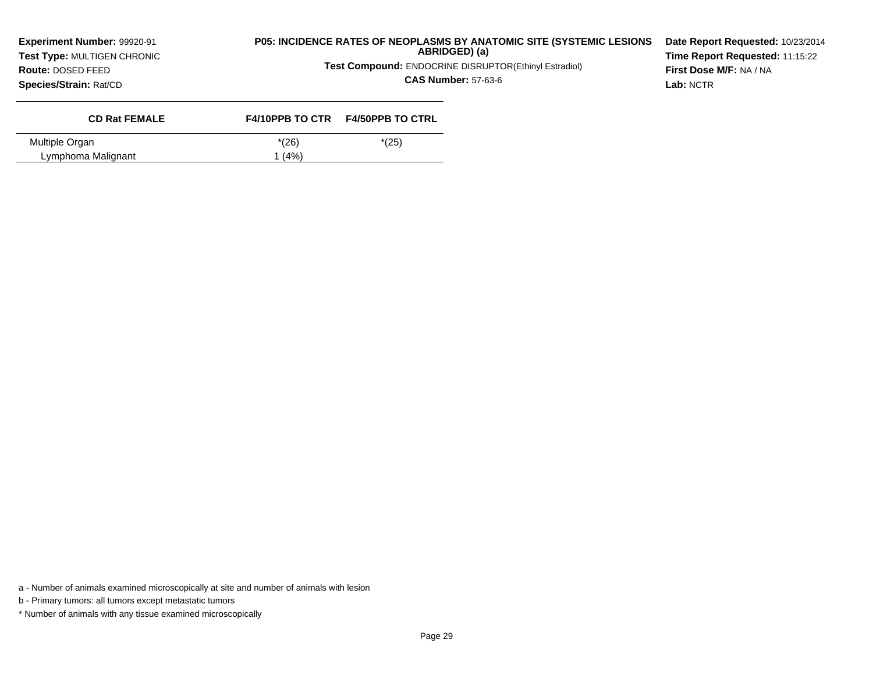**Test Type:** MULTIGEN CHRONIC**Route:** DOSED FEED

## **P05: INCIDENCE RATES OF NEOPLASMS BY ANATOMIC SITE (SYSTEMIC LESIONSABRIDGED) (a)**

**Test Compound:** ENDOCRINE DISRUPTOR(Ethinyl Estradiol)

**CAS Number:** 57-63-6

**Date Report Requested:** 10/23/2014**Time Report Requested:** 11:15:22**First Dose M/F:** NA / NA**Lab:** NCTR

**Species/Strain:** Rat/CD

| <b>CD Rat FEMALE</b> |         | F4/10PPB TO CTR F4/50PPB TO CTRL |
|----------------------|---------|----------------------------------|
| Multiple Organ       | $*(26)$ | $*(25)$                          |
| Lymphoma Malignant   | 1(4%)   |                                  |

b - Primary tumors: all tumors except metastatic tumors

a - Number of animals examined microscopically at site and number of animals with lesion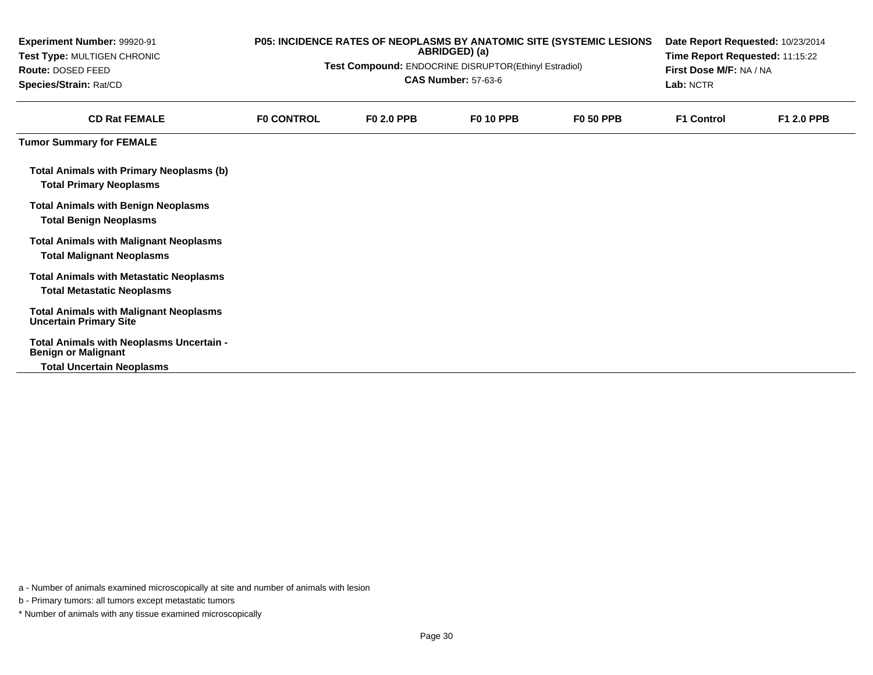| Experiment Number: 99920-91<br>Test Type: MULTIGEN CHRONIC<br>Route: DOSED FEED<br>Species/Strain: Rat/CD<br><b>CD Rat FEMALE</b> | P05: INCIDENCE RATES OF NEOPLASMS BY ANATOMIC SITE (SYSTEMIC LESIONS<br>ABRIDGED) (a)<br>Test Compound: ENDOCRINE DISRUPTOR(Ethinyl Estradiol)<br><b>CAS Number: 57-63-6</b> |                   |                  | Date Report Requested: 10/23/2014<br>Time Report Requested: 11:15:22<br>First Dose M/F: NA / NA<br>Lab: NCTR |            |                   |
|-----------------------------------------------------------------------------------------------------------------------------------|------------------------------------------------------------------------------------------------------------------------------------------------------------------------------|-------------------|------------------|--------------------------------------------------------------------------------------------------------------|------------|-------------------|
|                                                                                                                                   | <b>FO CONTROL</b>                                                                                                                                                            | <b>FO 2.0 PPB</b> | <b>F0 10 PPB</b> | <b>F0 50 PPB</b>                                                                                             | F1 Control | <b>F1 2.0 PPB</b> |
| <b>Tumor Summary for FEMALE</b>                                                                                                   |                                                                                                                                                                              |                   |                  |                                                                                                              |            |                   |
| <b>Total Animals with Primary Neoplasms (b)</b><br><b>Total Primary Neoplasms</b>                                                 |                                                                                                                                                                              |                   |                  |                                                                                                              |            |                   |
| <b>Total Animals with Benign Neoplasms</b><br><b>Total Benign Neoplasms</b>                                                       |                                                                                                                                                                              |                   |                  |                                                                                                              |            |                   |
| <b>Total Animals with Malignant Neoplasms</b><br><b>Total Malignant Neoplasms</b>                                                 |                                                                                                                                                                              |                   |                  |                                                                                                              |            |                   |
| <b>Total Animals with Metastatic Neoplasms</b><br><b>Total Metastatic Neoplasms</b>                                               |                                                                                                                                                                              |                   |                  |                                                                                                              |            |                   |
| <b>Total Animals with Malignant Neoplasms</b><br><b>Uncertain Primary Site</b>                                                    |                                                                                                                                                                              |                   |                  |                                                                                                              |            |                   |
| Total Animals with Neoplasms Uncertain -<br><b>Benign or Malignant</b>                                                            |                                                                                                                                                                              |                   |                  |                                                                                                              |            |                   |
| <b>Total Uncertain Neoplasms</b>                                                                                                  |                                                                                                                                                                              |                   |                  |                                                                                                              |            |                   |

b - Primary tumors: all tumors except metastatic tumors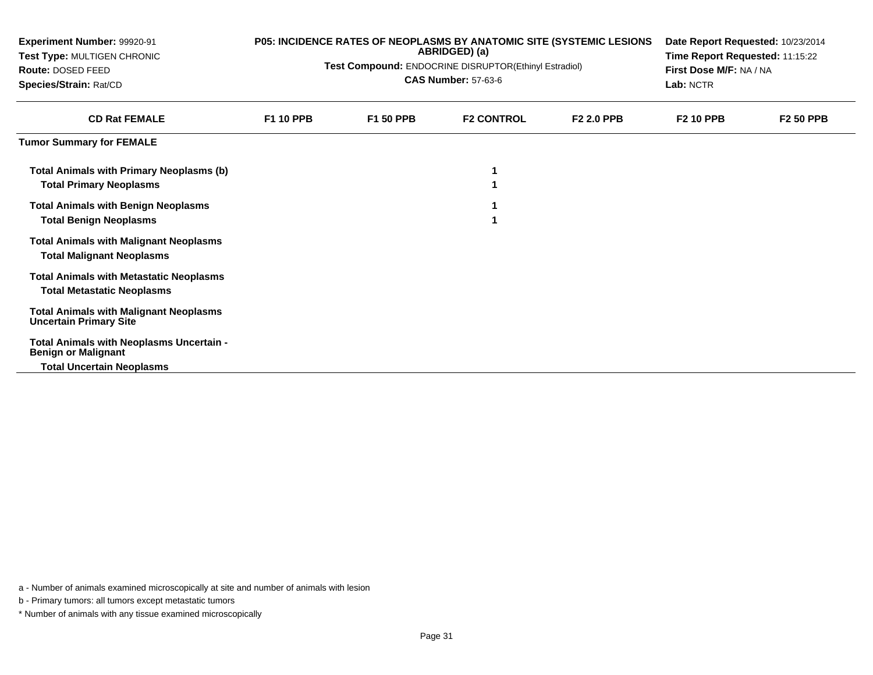| Experiment Number: 99920-91<br>Test Type: MULTIGEN CHRONIC<br>Route: DOSED FEED<br>Species/Strain: Rat/CD  | P05: INCIDENCE RATES OF NEOPLASMS BY ANATOMIC SITE (SYSTEMIC LESIONS<br>ABRIDGED) (a)<br>Test Compound: ENDOCRINE DISRUPTOR(Ethinyl Estradiol)<br><b>CAS Number: 57-63-6</b> |           |                   | Date Report Requested: 10/23/2014<br>Time Report Requested: 11:15:22<br>First Dose M/F: NA / NA<br>Lab: NCTR |                  |                  |
|------------------------------------------------------------------------------------------------------------|------------------------------------------------------------------------------------------------------------------------------------------------------------------------------|-----------|-------------------|--------------------------------------------------------------------------------------------------------------|------------------|------------------|
| <b>CD Rat FEMALE</b>                                                                                       | <b>F1 10 PPB</b>                                                                                                                                                             | F1 50 PPB | <b>F2 CONTROL</b> | <b>F2 2.0 PPB</b>                                                                                            | <b>F2 10 PPB</b> | <b>F2 50 PPB</b> |
| <b>Tumor Summary for FEMALE</b>                                                                            |                                                                                                                                                                              |           |                   |                                                                                                              |                  |                  |
| Total Animals with Primary Neoplasms (b)<br><b>Total Primary Neoplasms</b>                                 |                                                                                                                                                                              |           |                   |                                                                                                              |                  |                  |
| <b>Total Animals with Benign Neoplasms</b><br><b>Total Benign Neoplasms</b>                                |                                                                                                                                                                              |           |                   |                                                                                                              |                  |                  |
| <b>Total Animals with Malignant Neoplasms</b><br><b>Total Malignant Neoplasms</b>                          |                                                                                                                                                                              |           |                   |                                                                                                              |                  |                  |
| <b>Total Animals with Metastatic Neoplasms</b><br><b>Total Metastatic Neoplasms</b>                        |                                                                                                                                                                              |           |                   |                                                                                                              |                  |                  |
| <b>Total Animals with Malignant Neoplasms</b><br><b>Uncertain Primary Site</b>                             |                                                                                                                                                                              |           |                   |                                                                                                              |                  |                  |
| Total Animals with Neoplasms Uncertain -<br><b>Benign or Malignant</b><br><b>Total Uncertain Neoplasms</b> |                                                                                                                                                                              |           |                   |                                                                                                              |                  |                  |

b - Primary tumors: all tumors except metastatic tumors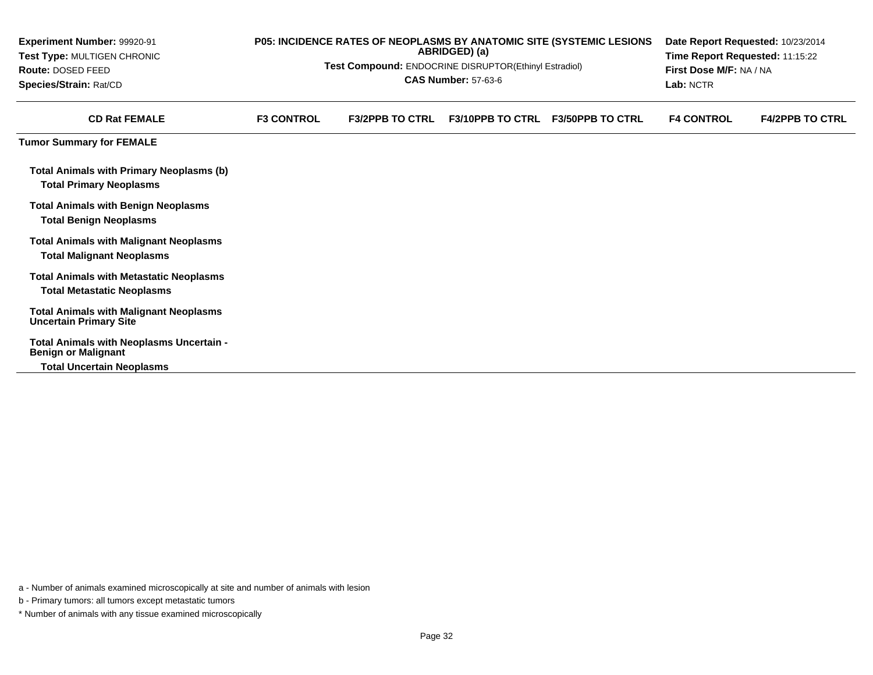| Experiment Number: 99920-91<br>Test Type: MULTIGEN CHRONIC<br>Route: DOSED FEED<br>Species/Strain: Rat/CD |                   | Test Compound: ENDOCRINE DISRUPTOR(Ethinyl Estradiol) | ABRIDGED) (a)<br><b>CAS Number: 57-63-6</b> | P05: INCIDENCE RATES OF NEOPLASMS BY ANATOMIC SITE (SYSTEMIC LESIONS | Date Report Requested: 10/23/2014<br>Time Report Requested: 11:15:22<br>First Dose M/F: NA / NA<br>Lab: NCTR |                        |  |
|-----------------------------------------------------------------------------------------------------------|-------------------|-------------------------------------------------------|---------------------------------------------|----------------------------------------------------------------------|--------------------------------------------------------------------------------------------------------------|------------------------|--|
| <b>CD Rat FEMALE</b>                                                                                      | <b>F3 CONTROL</b> | <b>F3/2PPB TO CTRL</b>                                | <b>F3/10PPB TO CTRL</b>                     | <b>F3/50PPB TO CTRL</b>                                              | <b>F4 CONTROL</b>                                                                                            | <b>F4/2PPB TO CTRL</b> |  |
| <b>Tumor Summary for FEMALE</b>                                                                           |                   |                                                       |                                             |                                                                      |                                                                                                              |                        |  |
| <b>Total Animals with Primary Neoplasms (b)</b><br><b>Total Primary Neoplasms</b>                         |                   |                                                       |                                             |                                                                      |                                                                                                              |                        |  |
| <b>Total Animals with Benign Neoplasms</b><br><b>Total Benign Neoplasms</b>                               |                   |                                                       |                                             |                                                                      |                                                                                                              |                        |  |
| <b>Total Animals with Malignant Neoplasms</b><br><b>Total Malignant Neoplasms</b>                         |                   |                                                       |                                             |                                                                      |                                                                                                              |                        |  |
| <b>Total Animals with Metastatic Neoplasms</b><br><b>Total Metastatic Neoplasms</b>                       |                   |                                                       |                                             |                                                                      |                                                                                                              |                        |  |
| <b>Total Animals with Malignant Neoplasms</b><br><b>Uncertain Primary Site</b>                            |                   |                                                       |                                             |                                                                      |                                                                                                              |                        |  |
| Total Animals with Neoplasms Uncertain -<br><b>Benign or Malignant</b>                                    |                   |                                                       |                                             |                                                                      |                                                                                                              |                        |  |
| <b>Total Uncertain Neoplasms</b>                                                                          |                   |                                                       |                                             |                                                                      |                                                                                                              |                        |  |

a - Number of animals examined microscopically at site and number of animals with lesion

b - Primary tumors: all tumors except metastatic tumors

\* Number of animals with any tissue examined microscopically